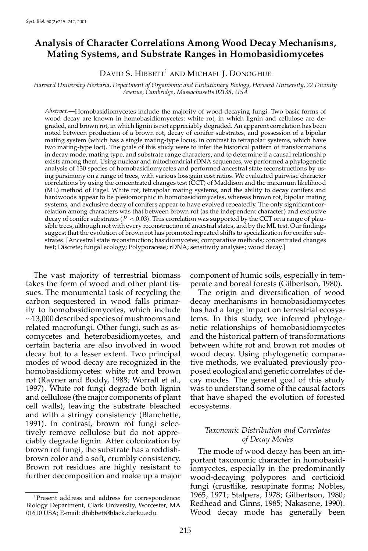# **Analysis of Character Correlations Among Wood Decay Mechanisms, Mating Systems, and Substrate Ranges in Homobasidiomycetes**

DAVID S. HIBBETT<sup>1</sup> AND MICHAEL J. DONOGHUE

*Harvard University Herbaria, Department of Organismic and Evolutionary Biology, Harvard University, 22 Divinity Avenue, Cambridge, Massachusetts 02138, USA*

*Abstract.—*Homobasidiomycetes include the majority of wood-decaying fungi. Two basic forms of wood decay are known in homobasidiomycetes: white rot, in which lignin and cellulose are de graded, and brown rot, in which lignin is not appreciably degraded. An apparent correlation has been noted between production of a brown rot, decay of conifer substrates, and possession of a bipolar mating system (which has a single mating-type locus, in contrast to tetrapolar systems, which have two mating-type loci). The goals of this study were to infer the historical pattern of transformations in decay mode, mating type, and substrate range characters, and to determine if a causal relationship exists among them. Using nuclear and mitochondrial rDNA sequences, we performed a phylogenetic analysis of 130 species of homobasidiomycetes and performed ancestral state reconstructions by using parsimony on a range of trees, with various loss:gain cost ratios. We evaluated pairwise character correlations by using the concentrated changes test (CCT) of Maddison and the maximum likelihood (ML) method of Pagel. White rot, tetrapolar mating systems, and the ability to decay conifers and hardwoods appear to be plesiomorphic in homobasidiomycetes, whereas brown rot, bipolar mating systems, and exclusive decay of conifers appear to have evolved repeatedly. The only significant correlation among characters was that between brown rot (as the independent character) and exclusive decay of conifer substrates ( $P < 0.03$ ). This correlation was supported by the CCT on a range of plausible trees, although not with every reconstruction of ancestral states, and by the ML test. Our findings suggest that the evolution of brown rot has promoted repeated shifts to specialization for conifer sub strates. [Ancestral state reconstruction; basidiomycetes; comparative methods; concentrated changes test; Discrete; fungal ecology; Polyporaceae; rDNA; sensitivity analyses; wood decay.]

The vast majority of terrestrial biomass takes the form of wood and other plant tis sues. The monumental task of recycling the carbon sequestered in wood falls primarily to homobasidiomycetes, which include  $\sim$ 13,000 described species of mushrooms and related macrofungi. Other fungi, such as as comycetes and heterobasidiomycetes, and certain bacteria are also involved in wood decay but to a lesser extent. Two principal modes of wood decay are recognized in the homobasidiomycetes: white rot and brown rot (Rayner and Boddy, 1988; Worrall et al., 1997). White rot fungi degrade both lignin and cellulose (the major components of plant cell walls), leaving the substrate bleached and with a stringy consistency (Blanchette, 1991). In contrast, brown rot fungi selectively remove cellulose but do not appre ciably degrade lignin. After colonization by brown rot fungi, the substrate has a reddish brown color and a soft, crumbly consistency. Brown rot residues are highly resistant to further decomposition and make up a major

component of humic soils, especially in tem perate and boreal forests (Gilbertson, 1980).

The origin and diversification of wood decay mechanisms in homobasidiomycetes has had a large impact on terrestrial ecosystems. In this study, we inferred phyloge netic relationships of homobasidiomycetes and the historical pattern of transformations between white rot and brown rot modes of wood decay. Using phylogenetic comparative methods, we evaluated previously pro posed ecological and genetic correlates of de cay modes. The general goal of this study was to understand some of the causal factors that have shaped the evolution of forested ecosystems.

### *Taxonomic Distribution and Correlates of Decay Modes*

The mode of wood decay has been an im portant taxonomic character in homobasidiomycetes, especially in the predominantly wood-decaying polypores and corticioid fungi (crustlike, resupinate forms; Nobles, 1965, 1971; Stalpers, 1978; Gilbertson, 1980; Redhead and Ginns, 1985; Nakasone, 1990). Wood decay mode has generally been

<sup>1</sup>Present address and address for correspondence: Biology Department, Clark University, Worcester, MA 01610 USA; E-mail: dhibbett@black.clarku.edu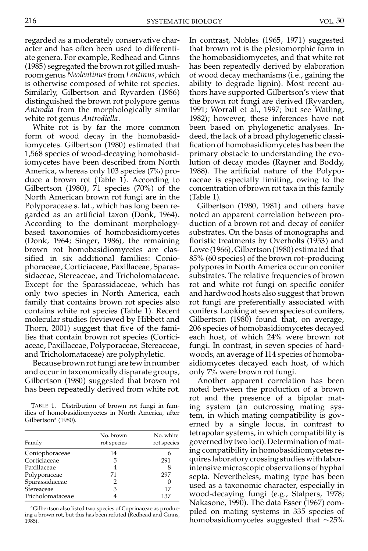regarded as a moderately conservative char acter and has often been used to differenti ate genera. For example, Redhead and Ginns (1985) segregated the brown rot gilled mush roomgenus *Neolentinus* from *Lentinus*, which

is otherwise composed of white rot species. Similarly, Gilbertson and Ryvarden (1986) distinguished the brown rot polypore genus *Antrodia* from the morphologically similar white rot genus *Antrodiella*.

White rot is by far the more common form of wood decay in the homobasidiomycetes. Gilbertson (1980) estimated that 1,568 species of wood-decaying homobasidiomycetes have been described from North America, whereas only 103 species (7%) pro duce a brown rot (Table 1). According to Gilbertson (1980), 71 species (70%) of the North American brown rot fungi are in the Polyporaceae s. lat., which has long been re garded as an artificial taxon (Donk, 1964). According to the dominant morphology based taxonomies of homobasidiomycetes (Donk, 1964; Singer, 1986), the remaining brown rot homobasidiomycetes are clas sified in six additional families: Coniophoraceae, Corticiaceae, Paxillaceae, Sparas sidaceae, Stereaceae, and Tricholomataceae. Except for the Sparassidaceae, which has only two species in North America, each family that contains brown rot species also contains white rot species (Table 1). Recent molecular studies (reviewed by Hibbett and Thorn, 2001) suggest that five of the families that contain brown rot species (Cortici aceae, Paxillaceae, Polyporaceae, Stereaceae, and Tricholomataceae) are polyphyletic.

Because brown rot fungi are few in number and occur in taxonomically disparate groups, Gilbertson (1980) suggested that brown rot has been repeatedly derived from white rot.

TABLE 1. Distribution of brown rot fungi in families of homobasidiomycetes in North America, after Gilbertson<sup>a</sup> (1980).

| Family            | No. brown<br>rot species | No. white<br>rot species |  |
|-------------------|--------------------------|--------------------------|--|
| Coniophoraceae    | 14                       |                          |  |
| Corticiaceae      | 5                        | 291                      |  |
| Paxillaceae       | 4                        |                          |  |
| Polyporaceae      | 71                       | 297                      |  |
| Sparassidaceae    | 2                        |                          |  |
| Stereaceae        | 3                        | 17                       |  |
| Tricholomatacea e |                          | 137                      |  |

<sup>a</sup>Gilbertson also listed two species of Coprinaceae as producing a brown rot, but this has been refuted (Redhead and Ginns, 1985).

In contrast, Nobles (1965, 1971) suggested that brown rot is the plesiomorphic form in the homobasidiomycetes, and that white rot has been repeatedly derived by elaboration of wood decay mechanisms (i.e., gaining the ability to degrade lignin). Most recent authors have supported Gilbertson's view that the brown rot fungi are derived (Ryvarden, 1991; Worrall et al., 1997; but see Watling, 1982); however, these inferences have not been based on phylogenetic analyses. In deed, the lack of a broad phylogenetic classi fication of homobasidiomycetes has been the primary obstacle to understanding the evolution of decay modes (Rayner and Boddy, 1988). The artificial nature of the Polyporaceae is especially limiting, owing to the concentration of brown rot taxa in this family (Table 1).

Gilbertson (1980, 1981) and others have noted an apparent correlation between pro duction of a brown rot and decay of conifer substrates. On the basis of monographs and floristic treatments by Overholts (1953) and Lowe (1966),Gilbertson (1980) estimated that 85% (60 species) of the brown rot–producing polypores in North America occur on conifer substrates. The relative frequencies of brown rot and white rot fungi on specific conifer and hardwood hosts also suggest that brown rot fungi are preferentially associated with conifers. Looking at seven species of conifers, Gilbertson (1980) found that, on average, 206 species of homobasidiomycetes decayed each host, of which 24% were brown rot fungi. In contrast, in seven species of hard woods, an average of 114 species of homoba sidiomycetes decayed each host, of which only 7% were brown rot fungi.

Another apparent correlation has been noted between the production of a brown rot and the presence of a bipolar mating system (an outcrossing mating system, in which mating compatibility is gov erned by a single locus, in contrast to tetrapolar systems, in which compatibility is governed by two loci). Determination ofmating compatibility in homobasidiomycetes re quires laboratory crossing studieswith laborintensive microscopic observations ofhyphal septa. Nevertheless, mating type has been used as a taxonomic character, especially in wood-decaying fungi (e.g., Stalpers, 1978; Nakasone, 1990). The data Esser (1967) com piled on mating systems in 335 species of homobasidiomycetes suggested that  $\sim$ 25%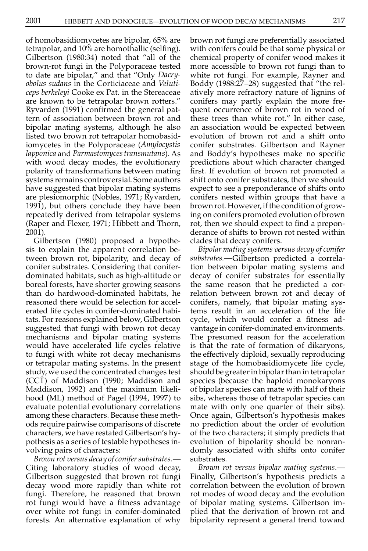of homobasidiomycetes are bipolar, 65% are tetrapolar, and  $10\%$  are homothallic (selfing). Gilbertson (1980:34) noted that "all of the brown-rot fungi in the Polyporaceae tested to date are bipolar," and that "Only *Dacryobolus sudans* in the Corticiaceae and *Veluticeps berkeleyi* Cooke ex Pat. in the Stereaceae are known to be tetrapolar brown rotters." Ryvarden (1991) confirmed the general pattern of association between brown rot and bipolar mating systems, although he also listed two brown rot tetrapolar homobasidiomycetes in the Polyporaceae (*Amylocystis lapponica* and *Parmastomycestransmutans*). As with wood decay modes, the evolutionary polarity of transformations between mating systems remains controversial. Some authors have suggested that bipolar mating systems are plesiomorphic (Nobles, 1971; Ryvarden, 1991), but others conclude they have been repeatedly derived from tetrapolar systems (Raper and Flexer, 1971; Hibbett and Thorn, 2001).

Gilbertson (1980) proposed a hypothe sis to explain the apparent correlation between brown rot, bipolarity, and decay of conifer substrates. Considering that conifer dominated habitats, such as high-altitude or boreal forests, have shorter growing seasons than do hardwood-dominated habitats, he reasoned there would be selection for accel erated life cycles in conifer-dominated habitats. For reasons explained below, Gilbertson suggested that fungi with brown rot decay mechanisms and bipolar mating systems would have accelerated life cycles relative to fungi with white rot decay mechanisms or tetrapolar mating systems. In the present study, we used the concentrated changes test (CCT) of Maddison (1990; Maddison and Maddison, 1992) and the maximum likeli hood (ML) method of Pagel (1994, 1997) to evaluate potential evolutionary correlations among these characters. Because these meth ods require pairwise comparisons of discrete characters, we have restated Gilbertson's hy pothesis as a series of testable hypotheses in volving pairs of characters:

*Brown rot versus decay of conifersubstrates.—* Citing laboratory studies of wood decay, Gilbertson suggested that brown rot fungi decay wood more rapidly than white rot fungi. Therefore, he reasoned that brown rot fungi would have a fitness advantage over white rot fungi in conifer-dominated forests. An alternative explanation of why

brown rot fungi are preferentially associated with conifers could be that some physical or chemical property of conifer wood makes it more accessible to brown rot fungi than to white rot fungi. For example, Rayner and Boddy (1988:27–28) suggested that "the rel atively more refractory nature of lignins of conifers may partly explain the more fre quent occurrence of brown rot in wood of these trees than white rot." In either case, an association would be expected between evolution of brown rot and a shift onto conifer substrates. Gilbertson and Rayner and Boddy's hypotheses make no specific predictions about which character changed first. If evolution of brown rot promoted a shift onto conifer substrates, then we should expect to see a preponderance of shifts onto conifers nested within groups that have a brown rot. However, if the condition of growing on conifers promoted evolution of brown rot, then we should expect to find a preponderance of shifts to brown rot nested within clades that decay conifers.

*Bipolar mating systems versus decay of conifer substrates.—*Gilbertson predicted a correlation between bipolar mating systems and decay of conifer substrates for essentially the same reason that he predicted a cor relation between brown rot and decay of conifers, namely, that bipolar mating systems result in an acceleration of the life cycle, which would confer a fitness advantage in conifer-dominated environments. The presumed reason for the acceleration is that the rate of formation of dikaryons, the effectively diploid, sexually reproducing stage of the homobasidiomycete life cycle, should be greater in bipolar than in tetrapolar species (because the haploid monokaryons of bipolar species can mate with half of their sibs, whereas those of tetrapolar species can mate with only one quarter of their sibs). Once again, Gilbertson's hypothesis makes no prediction about the order of evolution of the two characters; it simply predicts that evolution of bipolarity should be nonran domly associated with shifts onto conifer substrates.

*Brown rot versus bipolar mating systems.—* Finally, Gilbertson's hypothesis predicts a correlation between the evolution of brown rot modes of wood decay and the evolution of bipolar mating systems. Gilbertson im plied that the derivation of brown rot and bipolarity represent a general trend toward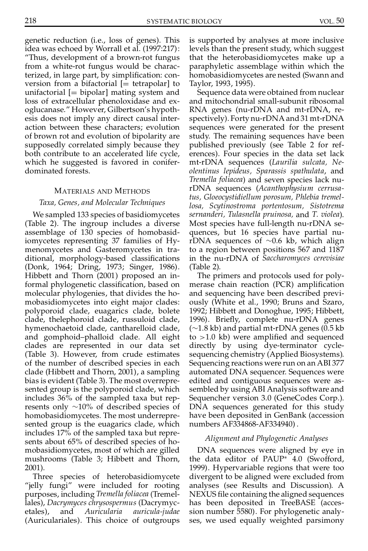genetic reduction (i.e., loss of genes). This idea was echoed by Worrall et al. (1997:217): "Thus, development of a brown-rot fungus from a white-rot fungus would be characterized, in large part, by simplification: conversion from a bifactorial  $[=$  tetrapolar] to unifactorial  $[=$  bipolar] mating system and loss of extracellular phenoloxidase and ex oglucanase." However, Gilbertson's hypoth esis does not imply any direct causal inter action between these characters; evolution of brown rot and evolution of bipolarity are supposedly correlated simply because they both contribute to an accelerated life cycle, which he suggested is favored in conifer dominated forests.

### MATERIALS AND METHODS

#### *Taxa, Genes, and Molecular Techniques*

We sampled 133 species of basidiomycetes (Table 2). The ingroup includes a diverse assemblage of 130 species of homobasidiomycetes representing 37 families of Hy menomycetes and Gasteromycetes in tra ditional, morphology-based classifications (Donk, 1964; Dring, 1973; Singer, 1986). Hibbett and Thorn (2001) proposed an informal phylogenetic classification, based on molecular phylogenies, that divides the ho mobasidiomycetes into eight major clades: polyporoid clade, euagarics clade, bolete clade, thelephoroid clade, russuloid clade, hymenochaetoid clade, cantharelloid clade, and gomphoid–phalloid clade. All eight clades are represented in our data set (Table 3). However, from crude estimates of the number of described species in each clade (Hibbett and Thorn, 2001), a sampling bias is evident (Table 3). The most overrepre sented group is the polyporoid clade, which includes 36% of the sampled taxa but rep resents only  $\sim$ 10% of described species of homobasidiomycetes. The most underrepre sented group is the euagarics clade, which includes 17% of the sampled taxa but repre sents about 65% of described species of ho mobasidiomycetes, most of which are gilled mushrooms (Table 3; Hibbett and Thorn, 2001).

Three species of heterobasidiomycete "jelly fungi" were included for rooting purposes, including *Tremella foliacea* (Tremellales), *Dacrymyces chrysospermus* (Dacrymycetales), and *Auricularia auricula-judae* (Auriculariales). This choice of outgroups is supported by analyses at more inclusive levels than the present study, which suggest that the heterobasidiomycetes make up a paraphyletic assemblage within which the homobasidiomycetes are nested (Swann and Taylor, 1993, 1995).

Sequence data were obtained from nuclear and mitochondrial small-subunit ribosomal RNA genes (nu-rDNA and mt-rDNA, re spectively). Forty nu-rDNA and 31 mt-rDNA sequences were generated for the present study. The remaining sequences have been published previously (see Table 2 for ref erences). Four species in the data set lack mt-rDNA sequences (*Laurilia sulcata, Ne olentinus lepideus, Sparassis spathulata*, and *Tremella foliacea*) and seven species lack nu rDNA sequences (*Acanthophysium cerrusatus, Gloeocystidiellum porosum, Phlebia tremellosa, Scytinostroma portentosum, Sistotrema sernanderi, Tulasnella pruinosa,* and *T.violea*). Most species have full-length nu-rDNA se quences, but 16 species have partial nu rDNA sequences of  $\sim 0.6$  kb, which align to a region between positions 567 and 1187 in the nu-rDNA of *Saccharomyces cerevisiae* (Table 2).

The primers and protocols used for poly merase chain reaction (PCR) amplification and sequencing have been described previ ously (White et al., 1990; Bruns and Szaro, 1992; Hibbett and Donoghue, 1995; Hibbett, 1996). Briefly, complete nu-rDNA genes  $(\sim1.8 \text{ kb})$  and partial mt-rDNA genes  $(0.5 \text{ kb})$ to  $>1.0$  kb) were amplified and sequenced directly by using dye-terminator cycle sequencing chemistry (Applied Biosystems). Sequencing reactions were run on an ABI 377 automated DNA sequencer. Sequences were edited and contiguous sequences were as sembled by using ABI Analysis software and Sequencher version 3.0 (GeneCodes Corp.). DNA sequences generated for this study have been deposited in GenBank (accession numbers AF334868-AF334940) .

### *Alignment and Phylogenetic Analyses*

DNA sequences were aligned by eye in the data editor of  $PAUP^*$  4.0 (Swofford, 1999). Hypervariable regions that were too divergent to be aligned were excluded from analyses (see Results and Discussion). A NEXUS file containing the aligned sequences has been deposited in TreeBASE (acces sion number 5580). For phylogenetic analy ses, we used equally weighted parsimony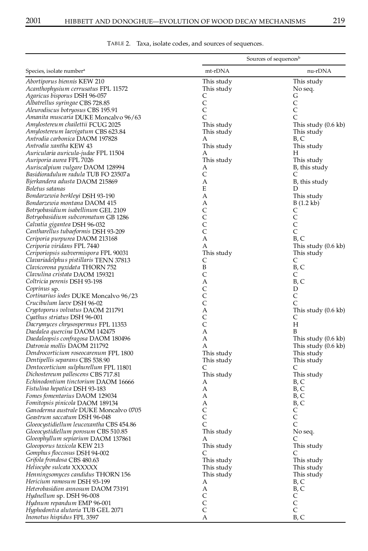|                                             | Sources of sequences <sup>b</sup> |                               |  |  |
|---------------------------------------------|-----------------------------------|-------------------------------|--|--|
| Species, isolate number <sup>a</sup>        | mt-rDNA                           | nu-rDNA                       |  |  |
| Abortiporus biennis KEW 210                 | This study                        | This study                    |  |  |
| Acanthophysium cerrusatus FPL 11572         | This study                        | No seq.                       |  |  |
| Agaricus bisporus DSH 96-057                | C                                 | G                             |  |  |
| Albatrellus syringae CBS 728.85             | C                                 | $\mathsf C$                   |  |  |
| Aleurodiscus botryosus CBS 195.91           | C                                 | $\mathsf C$                   |  |  |
| <i>Amanita muscaria DUKE Moncalvo 96/63</i> | C                                 | C                             |  |  |
| Amylostereum chailettii FCUG 2025           | This study                        | This study $(0.6 \text{ kb})$ |  |  |
| Amylostereum laevigatum CBS 623.84          | This study                        | This study                    |  |  |
| Antrodia carbonica DAOM 197828              | А                                 | B, C                          |  |  |
| Antrodia xantha KEW 43                      | This study                        | This study                    |  |  |
| Auricularia auricula-judae FPL 11504        | А                                 | H                             |  |  |
| Auriporia aurea FPL 7026                    | This study                        | This study                    |  |  |
| Auriscalpium vulgare DAOM 128994            | А                                 | B, this study                 |  |  |
| Basidioradulum radula TUB FO 23507 a        | C                                 | Ċ                             |  |  |
| Bjerkandera adusta DAOM 215869              | А                                 | B, this study                 |  |  |
| Boletus satanas                             | E                                 | D                             |  |  |
| Bondarzewia berkleyi DSH 93-190             | А                                 | This study                    |  |  |
| Bondarzewia montana DAOM 415                | А                                 | $B(1.2 \text{ kb})$           |  |  |
| Botryobasidium isabellinum GEL 2109         | C                                 | C                             |  |  |
| Botryobasidium subcoronatum GB 1286         | $\mathsf C$                       | $\mathsf C$                   |  |  |
| Calvatia gigantea DSH 96-032                | $\mathsf C$                       | $\mathsf{C}$                  |  |  |
| Cantharellus tubaeformis DSH 93-209         | $\mathsf C$                       | $\mathsf{C}$                  |  |  |
| Ceriporia purpurea DAOM 213168              | А                                 | B, C                          |  |  |
| Ceriporia viridans FPL 7440                 | А                                 | This study (0.6 kb)           |  |  |
| Ceriporiopsis subvermispora FPL 90031       | This study                        | This study                    |  |  |
| Clavariadelphus pistillaris TENN 37813      | C                                 | C                             |  |  |
| Clavicorona pyxidata THORN 752              | B                                 | B, C                          |  |  |
| Clavulina cristata DAOM 159321              | C                                 | C                             |  |  |
| Coltricia perenis DSH 93-198                | А                                 | B, C                          |  |  |
| Coprinus sp.                                | C                                 | D                             |  |  |
| Cortinarius iodes DUKE Moncalvo 96/23       | $\mathsf C$                       | $\mathsf{C}$                  |  |  |
| Crucibulum laeve DSH 96-02                  | C                                 | C                             |  |  |
| Cryptoporus volvatus DAOM 211791            | А                                 | This study (0.6 kb)           |  |  |
| Cyathus striatus DSH 96-001                 | C                                 | C                             |  |  |
| Dacrymyces chrysospermus FPL 11353          | $\mathsf{C}$                      | Η                             |  |  |
| Daedalea quercina DAOM 142475               | А                                 | B                             |  |  |
| Daedaleopsis confragosa DAOM 180496         | А                                 | This study (0.6 kb)           |  |  |
| Datronia mollis DAOM 211792                 | А                                 | This study (0.6 kb)           |  |  |
| Dendrocorticium roseocarenum FPL 1800       | This study                        | This study                    |  |  |
| Dentipellis separans CBS 538.90             | This study                        | This study                    |  |  |
| Dentocorticium sulphurellum FPL 11801       | C                                 | C                             |  |  |
| Dichostereum pallescens CBS 717.81          | This study                        | This study                    |  |  |
| Echinodontium tinctorium DAOM 16666         | А                                 | B, C                          |  |  |
| Fistulina hepatica DSH 93-183               | А                                 | B, C                          |  |  |
| Fomes fomentarius DAOM 129034               | А                                 | B, C                          |  |  |
| Fomitopsis pinicola DAOM 189134             | А                                 | B, C                          |  |  |
| Ganoderma australe DUKE Moncalvo 0705       | C                                 | C                             |  |  |
| Geastrum saccatum DSH 96-048                | C                                 | $\mathsf{C}$                  |  |  |
| Gloeocystidiellum leucoxantha CBS 454.86    | $\mathsf{C}$                      | $\mathsf C$                   |  |  |
| Gloeocystidiellum porosum CBS 510.85        | This study                        | No seq.                       |  |  |
| Gloeophyllum sepiarium DAOM 137861          | А                                 | Ċ                             |  |  |
| Gloeoporus taxicola KEW 213                 | This study                        | This study                    |  |  |
| Gomphus floccosus DSH 94-002                | C                                 | Ċ                             |  |  |
| Grifola frondosa CBS 480.63                 | This study                        | This study                    |  |  |
| Heliocybe sulcata XXXXXX                    | This study                        | This study                    |  |  |
| Henningsomyces candidus THORN 156           | This study                        | This study                    |  |  |
| Hericium ramosum DSH 93-199                 | А                                 | B, C                          |  |  |
| Heterobasidion annosum DAOM 73191           | А                                 | B, C                          |  |  |
| Hydnellum sp. DSH 96-008                    | C                                 | C                             |  |  |
| Hydnum repandum EMP 96-001                  | C                                 | $\mathsf C$                   |  |  |
| Hyphodontia alutaria TUB GEL 2071           | $\mathsf C$                       | C                             |  |  |
| Inonotus hispidus FPL 3597                  | А                                 | B, C                          |  |  |

TABLE 2. Taxa, isolate codes, and sources of sequences.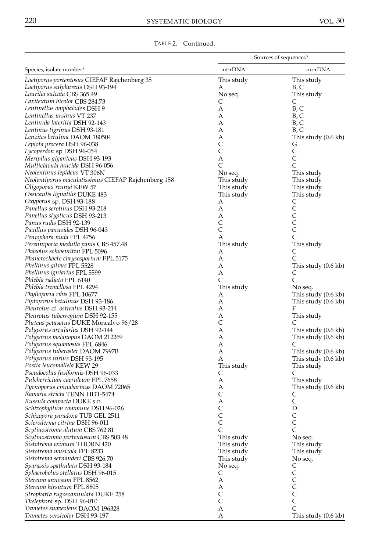| TABLE 2.<br>Continued. |
|------------------------|
|------------------------|

| mt-rDNA<br>nu-rDNA<br>Species, isolate number <sup>a</sup><br>Laetiporus portentosus CIEFAP Rajchenberg 35<br>This study<br>This study<br>Laetiporus sulphureus DSH 93-194<br>А<br>B, C<br>Laurilia sulcata CBS 365.49<br>This study<br>No seq.<br>Laxitextum bicolor CBS 284.73<br>C<br>C<br>Lentinellus omphalodes DSH 9<br>B, C<br>А<br>Lentinellus ursinus VT 237<br>B, C<br>А<br>Lentinula lateritia DSH 92-143<br>А<br>B, C<br>A<br>B, C<br>Lentinus tigrinus DSH 93-181<br>Lenzites betulina DAOM 180504<br>А<br>This study (0.6 kb)<br>C<br>Lepiota procera DSH 96-038<br>G<br>$\mathsf C$<br>C<br>Lycoperdon sp DSH 96-054<br>C<br>Meripilus giganteus DSH 93-193<br>А<br>C<br>C<br>Multiclavula mucida DSH 96-056<br>Neolentinus lepideus VT 306N<br>No seq.<br>This study<br>Neolentiporus maculatissimus CIEFAP Rajchenberg 158<br>This study<br>This study<br>Oligoporus rennyi KEW 57<br>This study<br>This study<br>Ossicaulis lignatilis DUKE 483<br>This study<br>This study<br>C<br>Oxyporus sp. DSH 93-188<br>А<br>C<br>Panellus serotinus DSH 93-218<br>А<br>C<br>А<br>Panellus stypticus DSH 93-213<br>C<br>C<br>Panus rudis DSH 92-139<br>C<br>C<br>Paxillus panuoides DSH 96-043<br>C<br>А<br>Peniophora nuda FPL 4756<br>Perenniporia medulla panis CBS 457.48<br>This study<br>This study<br>Phaeolus schweinitzii FPL 5096<br>C<br>А<br>C<br>А<br>Phanerochaete chrysosporium FPL 5175<br>Phellinus gilvus FPL 5528<br>А<br>This study (0.6 kb)<br>Phellinus igniarius FPL 5599<br>А<br>C<br>C<br>C<br>Phlebia radiata FPL 6140<br>Phlebia tremellosa FPL 4294<br>This study<br>No seq.<br>Phylloporia ribis FPL 10677<br>А<br>This study (0.6 kb)<br>Piptoporus betulinus DSH 93-186<br>А<br>This study (0.6 kb)<br>Pleurotus cf. ostreatus DSH 93-214<br>А<br>F<br>Pleurotus tuberregium DSH 92-155<br>А<br>This study<br>C<br>Pluteus petasatus DUKE Moncalvo 96/28<br>Ċ<br>Polyporus arcularius DSH 92-144<br>А<br>This study (0.6 kb)<br>А<br>This study (0.6 kb)<br>Polyporus squamosus FPL 6846<br>А<br>Ċ<br>Polyporus tuberaster DAOM 7997B<br>А<br>This study (0.6 kb)<br>Polyporus varius DSH 93-195<br>А<br>This study (0.6 kb)<br>Postia leucomallela KEW 29<br>This study<br>This study<br>Pseudocolus fusiformis DSH 96-033<br>C<br>C<br>Pulcherricium caeruleum FPL 7658<br>А<br>This study<br>Pycnoporus cinnabarinus DAOM 72065<br>А<br>This study (0.6 kb)<br>C<br>Ramaria stricta TENN HDT-5474<br>C<br>C<br>А<br><i>Russula compacta</i> DUKE s.n.<br>Schizophyllum commune DSH 96-026<br>C<br>D<br>$\mathsf{C}$<br>$\mathsf{C}$<br>Schizopora paradoxa TUB GEL 2511<br>$\mathsf{C}$<br>$\mathsf{C}$<br>Scleroderma citrina DSH 96-011<br>$\mathsf C$<br>Scytinostroma alutum CBS 762.81<br>C<br>Scytinostroma portentosum CBS 503.48<br>This study<br>No seq.<br>Sistotrema eximum THORN 420<br>This study<br>This study<br>Sistotrema musicola FPL 8233<br>This study<br>This study<br>Sistotrema sernanderi CBS 926.70<br>This study<br>No seq.<br>Sparassis spathulata DSH 93-184<br>No seq.<br>C<br>$\mathsf C$<br>Sphaerobolus stellatus DSH 96-015<br>C<br>$\frac{C}{C}$<br>Stereum annosum FPL 8562<br>А<br>Stereum hirsutum FPL 8805<br>А<br>$\mathsf{C}$<br>Stropharia rugosoannulata DUKE 258<br>C<br>$\bar{C}$<br>$\mathsf C$<br>Thelephora sp. DSH 96-010<br>$\mathsf{C}$<br>Trametes suaveolens DAOM 196328<br>А<br>Trametes versicolor DSH 93-197<br>This study (0.6 kb)<br>А |                                 | Sources of sequences <sup>b</sup> |  |  |  |  |
|--------------------------------------------------------------------------------------------------------------------------------------------------------------------------------------------------------------------------------------------------------------------------------------------------------------------------------------------------------------------------------------------------------------------------------------------------------------------------------------------------------------------------------------------------------------------------------------------------------------------------------------------------------------------------------------------------------------------------------------------------------------------------------------------------------------------------------------------------------------------------------------------------------------------------------------------------------------------------------------------------------------------------------------------------------------------------------------------------------------------------------------------------------------------------------------------------------------------------------------------------------------------------------------------------------------------------------------------------------------------------------------------------------------------------------------------------------------------------------------------------------------------------------------------------------------------------------------------------------------------------------------------------------------------------------------------------------------------------------------------------------------------------------------------------------------------------------------------------------------------------------------------------------------------------------------------------------------------------------------------------------------------------------------------------------------------------------------------------------------------------------------------------------------------------------------------------------------------------------------------------------------------------------------------------------------------------------------------------------------------------------------------------------------------------------------------------------------------------------------------------------------------------------------------------------------------------------------------------------------------------------------------------------------------------------------------------------------------------------------------------------------------------------------------------------------------------------------------------------------------------------------------------------------------------------------------------------------------------------------------------------------------------------------------------------------------------------------------------------------------------------------------------------------------------------------------------------------------------------------------------------------------------------------------------------------------------------------------------------------------------------------------------------------------------------------------|---------------------------------|-----------------------------------|--|--|--|--|
|                                                                                                                                                                                                                                                                                                                                                                                                                                                                                                                                                                                                                                                                                                                                                                                                                                                                                                                                                                                                                                                                                                                                                                                                                                                                                                                                                                                                                                                                                                                                                                                                                                                                                                                                                                                                                                                                                                                                                                                                                                                                                                                                                                                                                                                                                                                                                                                                                                                                                                                                                                                                                                                                                                                                                                                                                                                                                                                                                                                                                                                                                                                                                                                                                                                                                                                                                                                                                                            |                                 |                                   |  |  |  |  |
|                                                                                                                                                                                                                                                                                                                                                                                                                                                                                                                                                                                                                                                                                                                                                                                                                                                                                                                                                                                                                                                                                                                                                                                                                                                                                                                                                                                                                                                                                                                                                                                                                                                                                                                                                                                                                                                                                                                                                                                                                                                                                                                                                                                                                                                                                                                                                                                                                                                                                                                                                                                                                                                                                                                                                                                                                                                                                                                                                                                                                                                                                                                                                                                                                                                                                                                                                                                                                                            |                                 |                                   |  |  |  |  |
|                                                                                                                                                                                                                                                                                                                                                                                                                                                                                                                                                                                                                                                                                                                                                                                                                                                                                                                                                                                                                                                                                                                                                                                                                                                                                                                                                                                                                                                                                                                                                                                                                                                                                                                                                                                                                                                                                                                                                                                                                                                                                                                                                                                                                                                                                                                                                                                                                                                                                                                                                                                                                                                                                                                                                                                                                                                                                                                                                                                                                                                                                                                                                                                                                                                                                                                                                                                                                                            |                                 |                                   |  |  |  |  |
|                                                                                                                                                                                                                                                                                                                                                                                                                                                                                                                                                                                                                                                                                                                                                                                                                                                                                                                                                                                                                                                                                                                                                                                                                                                                                                                                                                                                                                                                                                                                                                                                                                                                                                                                                                                                                                                                                                                                                                                                                                                                                                                                                                                                                                                                                                                                                                                                                                                                                                                                                                                                                                                                                                                                                                                                                                                                                                                                                                                                                                                                                                                                                                                                                                                                                                                                                                                                                                            |                                 |                                   |  |  |  |  |
|                                                                                                                                                                                                                                                                                                                                                                                                                                                                                                                                                                                                                                                                                                                                                                                                                                                                                                                                                                                                                                                                                                                                                                                                                                                                                                                                                                                                                                                                                                                                                                                                                                                                                                                                                                                                                                                                                                                                                                                                                                                                                                                                                                                                                                                                                                                                                                                                                                                                                                                                                                                                                                                                                                                                                                                                                                                                                                                                                                                                                                                                                                                                                                                                                                                                                                                                                                                                                                            |                                 |                                   |  |  |  |  |
|                                                                                                                                                                                                                                                                                                                                                                                                                                                                                                                                                                                                                                                                                                                                                                                                                                                                                                                                                                                                                                                                                                                                                                                                                                                                                                                                                                                                                                                                                                                                                                                                                                                                                                                                                                                                                                                                                                                                                                                                                                                                                                                                                                                                                                                                                                                                                                                                                                                                                                                                                                                                                                                                                                                                                                                                                                                                                                                                                                                                                                                                                                                                                                                                                                                                                                                                                                                                                                            |                                 |                                   |  |  |  |  |
|                                                                                                                                                                                                                                                                                                                                                                                                                                                                                                                                                                                                                                                                                                                                                                                                                                                                                                                                                                                                                                                                                                                                                                                                                                                                                                                                                                                                                                                                                                                                                                                                                                                                                                                                                                                                                                                                                                                                                                                                                                                                                                                                                                                                                                                                                                                                                                                                                                                                                                                                                                                                                                                                                                                                                                                                                                                                                                                                                                                                                                                                                                                                                                                                                                                                                                                                                                                                                                            |                                 |                                   |  |  |  |  |
|                                                                                                                                                                                                                                                                                                                                                                                                                                                                                                                                                                                                                                                                                                                                                                                                                                                                                                                                                                                                                                                                                                                                                                                                                                                                                                                                                                                                                                                                                                                                                                                                                                                                                                                                                                                                                                                                                                                                                                                                                                                                                                                                                                                                                                                                                                                                                                                                                                                                                                                                                                                                                                                                                                                                                                                                                                                                                                                                                                                                                                                                                                                                                                                                                                                                                                                                                                                                                                            |                                 |                                   |  |  |  |  |
|                                                                                                                                                                                                                                                                                                                                                                                                                                                                                                                                                                                                                                                                                                                                                                                                                                                                                                                                                                                                                                                                                                                                                                                                                                                                                                                                                                                                                                                                                                                                                                                                                                                                                                                                                                                                                                                                                                                                                                                                                                                                                                                                                                                                                                                                                                                                                                                                                                                                                                                                                                                                                                                                                                                                                                                                                                                                                                                                                                                                                                                                                                                                                                                                                                                                                                                                                                                                                                            |                                 |                                   |  |  |  |  |
|                                                                                                                                                                                                                                                                                                                                                                                                                                                                                                                                                                                                                                                                                                                                                                                                                                                                                                                                                                                                                                                                                                                                                                                                                                                                                                                                                                                                                                                                                                                                                                                                                                                                                                                                                                                                                                                                                                                                                                                                                                                                                                                                                                                                                                                                                                                                                                                                                                                                                                                                                                                                                                                                                                                                                                                                                                                                                                                                                                                                                                                                                                                                                                                                                                                                                                                                                                                                                                            |                                 |                                   |  |  |  |  |
|                                                                                                                                                                                                                                                                                                                                                                                                                                                                                                                                                                                                                                                                                                                                                                                                                                                                                                                                                                                                                                                                                                                                                                                                                                                                                                                                                                                                                                                                                                                                                                                                                                                                                                                                                                                                                                                                                                                                                                                                                                                                                                                                                                                                                                                                                                                                                                                                                                                                                                                                                                                                                                                                                                                                                                                                                                                                                                                                                                                                                                                                                                                                                                                                                                                                                                                                                                                                                                            |                                 |                                   |  |  |  |  |
|                                                                                                                                                                                                                                                                                                                                                                                                                                                                                                                                                                                                                                                                                                                                                                                                                                                                                                                                                                                                                                                                                                                                                                                                                                                                                                                                                                                                                                                                                                                                                                                                                                                                                                                                                                                                                                                                                                                                                                                                                                                                                                                                                                                                                                                                                                                                                                                                                                                                                                                                                                                                                                                                                                                                                                                                                                                                                                                                                                                                                                                                                                                                                                                                                                                                                                                                                                                                                                            |                                 |                                   |  |  |  |  |
|                                                                                                                                                                                                                                                                                                                                                                                                                                                                                                                                                                                                                                                                                                                                                                                                                                                                                                                                                                                                                                                                                                                                                                                                                                                                                                                                                                                                                                                                                                                                                                                                                                                                                                                                                                                                                                                                                                                                                                                                                                                                                                                                                                                                                                                                                                                                                                                                                                                                                                                                                                                                                                                                                                                                                                                                                                                                                                                                                                                                                                                                                                                                                                                                                                                                                                                                                                                                                                            |                                 |                                   |  |  |  |  |
|                                                                                                                                                                                                                                                                                                                                                                                                                                                                                                                                                                                                                                                                                                                                                                                                                                                                                                                                                                                                                                                                                                                                                                                                                                                                                                                                                                                                                                                                                                                                                                                                                                                                                                                                                                                                                                                                                                                                                                                                                                                                                                                                                                                                                                                                                                                                                                                                                                                                                                                                                                                                                                                                                                                                                                                                                                                                                                                                                                                                                                                                                                                                                                                                                                                                                                                                                                                                                                            |                                 |                                   |  |  |  |  |
|                                                                                                                                                                                                                                                                                                                                                                                                                                                                                                                                                                                                                                                                                                                                                                                                                                                                                                                                                                                                                                                                                                                                                                                                                                                                                                                                                                                                                                                                                                                                                                                                                                                                                                                                                                                                                                                                                                                                                                                                                                                                                                                                                                                                                                                                                                                                                                                                                                                                                                                                                                                                                                                                                                                                                                                                                                                                                                                                                                                                                                                                                                                                                                                                                                                                                                                                                                                                                                            |                                 |                                   |  |  |  |  |
|                                                                                                                                                                                                                                                                                                                                                                                                                                                                                                                                                                                                                                                                                                                                                                                                                                                                                                                                                                                                                                                                                                                                                                                                                                                                                                                                                                                                                                                                                                                                                                                                                                                                                                                                                                                                                                                                                                                                                                                                                                                                                                                                                                                                                                                                                                                                                                                                                                                                                                                                                                                                                                                                                                                                                                                                                                                                                                                                                                                                                                                                                                                                                                                                                                                                                                                                                                                                                                            |                                 |                                   |  |  |  |  |
|                                                                                                                                                                                                                                                                                                                                                                                                                                                                                                                                                                                                                                                                                                                                                                                                                                                                                                                                                                                                                                                                                                                                                                                                                                                                                                                                                                                                                                                                                                                                                                                                                                                                                                                                                                                                                                                                                                                                                                                                                                                                                                                                                                                                                                                                                                                                                                                                                                                                                                                                                                                                                                                                                                                                                                                                                                                                                                                                                                                                                                                                                                                                                                                                                                                                                                                                                                                                                                            |                                 |                                   |  |  |  |  |
|                                                                                                                                                                                                                                                                                                                                                                                                                                                                                                                                                                                                                                                                                                                                                                                                                                                                                                                                                                                                                                                                                                                                                                                                                                                                                                                                                                                                                                                                                                                                                                                                                                                                                                                                                                                                                                                                                                                                                                                                                                                                                                                                                                                                                                                                                                                                                                                                                                                                                                                                                                                                                                                                                                                                                                                                                                                                                                                                                                                                                                                                                                                                                                                                                                                                                                                                                                                                                                            |                                 |                                   |  |  |  |  |
|                                                                                                                                                                                                                                                                                                                                                                                                                                                                                                                                                                                                                                                                                                                                                                                                                                                                                                                                                                                                                                                                                                                                                                                                                                                                                                                                                                                                                                                                                                                                                                                                                                                                                                                                                                                                                                                                                                                                                                                                                                                                                                                                                                                                                                                                                                                                                                                                                                                                                                                                                                                                                                                                                                                                                                                                                                                                                                                                                                                                                                                                                                                                                                                                                                                                                                                                                                                                                                            |                                 |                                   |  |  |  |  |
|                                                                                                                                                                                                                                                                                                                                                                                                                                                                                                                                                                                                                                                                                                                                                                                                                                                                                                                                                                                                                                                                                                                                                                                                                                                                                                                                                                                                                                                                                                                                                                                                                                                                                                                                                                                                                                                                                                                                                                                                                                                                                                                                                                                                                                                                                                                                                                                                                                                                                                                                                                                                                                                                                                                                                                                                                                                                                                                                                                                                                                                                                                                                                                                                                                                                                                                                                                                                                                            |                                 |                                   |  |  |  |  |
|                                                                                                                                                                                                                                                                                                                                                                                                                                                                                                                                                                                                                                                                                                                                                                                                                                                                                                                                                                                                                                                                                                                                                                                                                                                                                                                                                                                                                                                                                                                                                                                                                                                                                                                                                                                                                                                                                                                                                                                                                                                                                                                                                                                                                                                                                                                                                                                                                                                                                                                                                                                                                                                                                                                                                                                                                                                                                                                                                                                                                                                                                                                                                                                                                                                                                                                                                                                                                                            |                                 |                                   |  |  |  |  |
|                                                                                                                                                                                                                                                                                                                                                                                                                                                                                                                                                                                                                                                                                                                                                                                                                                                                                                                                                                                                                                                                                                                                                                                                                                                                                                                                                                                                                                                                                                                                                                                                                                                                                                                                                                                                                                                                                                                                                                                                                                                                                                                                                                                                                                                                                                                                                                                                                                                                                                                                                                                                                                                                                                                                                                                                                                                                                                                                                                                                                                                                                                                                                                                                                                                                                                                                                                                                                                            |                                 |                                   |  |  |  |  |
|                                                                                                                                                                                                                                                                                                                                                                                                                                                                                                                                                                                                                                                                                                                                                                                                                                                                                                                                                                                                                                                                                                                                                                                                                                                                                                                                                                                                                                                                                                                                                                                                                                                                                                                                                                                                                                                                                                                                                                                                                                                                                                                                                                                                                                                                                                                                                                                                                                                                                                                                                                                                                                                                                                                                                                                                                                                                                                                                                                                                                                                                                                                                                                                                                                                                                                                                                                                                                                            |                                 |                                   |  |  |  |  |
|                                                                                                                                                                                                                                                                                                                                                                                                                                                                                                                                                                                                                                                                                                                                                                                                                                                                                                                                                                                                                                                                                                                                                                                                                                                                                                                                                                                                                                                                                                                                                                                                                                                                                                                                                                                                                                                                                                                                                                                                                                                                                                                                                                                                                                                                                                                                                                                                                                                                                                                                                                                                                                                                                                                                                                                                                                                                                                                                                                                                                                                                                                                                                                                                                                                                                                                                                                                                                                            |                                 |                                   |  |  |  |  |
|                                                                                                                                                                                                                                                                                                                                                                                                                                                                                                                                                                                                                                                                                                                                                                                                                                                                                                                                                                                                                                                                                                                                                                                                                                                                                                                                                                                                                                                                                                                                                                                                                                                                                                                                                                                                                                                                                                                                                                                                                                                                                                                                                                                                                                                                                                                                                                                                                                                                                                                                                                                                                                                                                                                                                                                                                                                                                                                                                                                                                                                                                                                                                                                                                                                                                                                                                                                                                                            |                                 |                                   |  |  |  |  |
|                                                                                                                                                                                                                                                                                                                                                                                                                                                                                                                                                                                                                                                                                                                                                                                                                                                                                                                                                                                                                                                                                                                                                                                                                                                                                                                                                                                                                                                                                                                                                                                                                                                                                                                                                                                                                                                                                                                                                                                                                                                                                                                                                                                                                                                                                                                                                                                                                                                                                                                                                                                                                                                                                                                                                                                                                                                                                                                                                                                                                                                                                                                                                                                                                                                                                                                                                                                                                                            |                                 |                                   |  |  |  |  |
|                                                                                                                                                                                                                                                                                                                                                                                                                                                                                                                                                                                                                                                                                                                                                                                                                                                                                                                                                                                                                                                                                                                                                                                                                                                                                                                                                                                                                                                                                                                                                                                                                                                                                                                                                                                                                                                                                                                                                                                                                                                                                                                                                                                                                                                                                                                                                                                                                                                                                                                                                                                                                                                                                                                                                                                                                                                                                                                                                                                                                                                                                                                                                                                                                                                                                                                                                                                                                                            |                                 |                                   |  |  |  |  |
|                                                                                                                                                                                                                                                                                                                                                                                                                                                                                                                                                                                                                                                                                                                                                                                                                                                                                                                                                                                                                                                                                                                                                                                                                                                                                                                                                                                                                                                                                                                                                                                                                                                                                                                                                                                                                                                                                                                                                                                                                                                                                                                                                                                                                                                                                                                                                                                                                                                                                                                                                                                                                                                                                                                                                                                                                                                                                                                                                                                                                                                                                                                                                                                                                                                                                                                                                                                                                                            |                                 |                                   |  |  |  |  |
|                                                                                                                                                                                                                                                                                                                                                                                                                                                                                                                                                                                                                                                                                                                                                                                                                                                                                                                                                                                                                                                                                                                                                                                                                                                                                                                                                                                                                                                                                                                                                                                                                                                                                                                                                                                                                                                                                                                                                                                                                                                                                                                                                                                                                                                                                                                                                                                                                                                                                                                                                                                                                                                                                                                                                                                                                                                                                                                                                                                                                                                                                                                                                                                                                                                                                                                                                                                                                                            |                                 |                                   |  |  |  |  |
|                                                                                                                                                                                                                                                                                                                                                                                                                                                                                                                                                                                                                                                                                                                                                                                                                                                                                                                                                                                                                                                                                                                                                                                                                                                                                                                                                                                                                                                                                                                                                                                                                                                                                                                                                                                                                                                                                                                                                                                                                                                                                                                                                                                                                                                                                                                                                                                                                                                                                                                                                                                                                                                                                                                                                                                                                                                                                                                                                                                                                                                                                                                                                                                                                                                                                                                                                                                                                                            |                                 |                                   |  |  |  |  |
|                                                                                                                                                                                                                                                                                                                                                                                                                                                                                                                                                                                                                                                                                                                                                                                                                                                                                                                                                                                                                                                                                                                                                                                                                                                                                                                                                                                                                                                                                                                                                                                                                                                                                                                                                                                                                                                                                                                                                                                                                                                                                                                                                                                                                                                                                                                                                                                                                                                                                                                                                                                                                                                                                                                                                                                                                                                                                                                                                                                                                                                                                                                                                                                                                                                                                                                                                                                                                                            |                                 |                                   |  |  |  |  |
|                                                                                                                                                                                                                                                                                                                                                                                                                                                                                                                                                                                                                                                                                                                                                                                                                                                                                                                                                                                                                                                                                                                                                                                                                                                                                                                                                                                                                                                                                                                                                                                                                                                                                                                                                                                                                                                                                                                                                                                                                                                                                                                                                                                                                                                                                                                                                                                                                                                                                                                                                                                                                                                                                                                                                                                                                                                                                                                                                                                                                                                                                                                                                                                                                                                                                                                                                                                                                                            |                                 |                                   |  |  |  |  |
|                                                                                                                                                                                                                                                                                                                                                                                                                                                                                                                                                                                                                                                                                                                                                                                                                                                                                                                                                                                                                                                                                                                                                                                                                                                                                                                                                                                                                                                                                                                                                                                                                                                                                                                                                                                                                                                                                                                                                                                                                                                                                                                                                                                                                                                                                                                                                                                                                                                                                                                                                                                                                                                                                                                                                                                                                                                                                                                                                                                                                                                                                                                                                                                                                                                                                                                                                                                                                                            |                                 |                                   |  |  |  |  |
|                                                                                                                                                                                                                                                                                                                                                                                                                                                                                                                                                                                                                                                                                                                                                                                                                                                                                                                                                                                                                                                                                                                                                                                                                                                                                                                                                                                                                                                                                                                                                                                                                                                                                                                                                                                                                                                                                                                                                                                                                                                                                                                                                                                                                                                                                                                                                                                                                                                                                                                                                                                                                                                                                                                                                                                                                                                                                                                                                                                                                                                                                                                                                                                                                                                                                                                                                                                                                                            |                                 |                                   |  |  |  |  |
|                                                                                                                                                                                                                                                                                                                                                                                                                                                                                                                                                                                                                                                                                                                                                                                                                                                                                                                                                                                                                                                                                                                                                                                                                                                                                                                                                                                                                                                                                                                                                                                                                                                                                                                                                                                                                                                                                                                                                                                                                                                                                                                                                                                                                                                                                                                                                                                                                                                                                                                                                                                                                                                                                                                                                                                                                                                                                                                                                                                                                                                                                                                                                                                                                                                                                                                                                                                                                                            |                                 |                                   |  |  |  |  |
|                                                                                                                                                                                                                                                                                                                                                                                                                                                                                                                                                                                                                                                                                                                                                                                                                                                                                                                                                                                                                                                                                                                                                                                                                                                                                                                                                                                                                                                                                                                                                                                                                                                                                                                                                                                                                                                                                                                                                                                                                                                                                                                                                                                                                                                                                                                                                                                                                                                                                                                                                                                                                                                                                                                                                                                                                                                                                                                                                                                                                                                                                                                                                                                                                                                                                                                                                                                                                                            | Polyporus melanopus DAOM 212269 |                                   |  |  |  |  |
|                                                                                                                                                                                                                                                                                                                                                                                                                                                                                                                                                                                                                                                                                                                                                                                                                                                                                                                                                                                                                                                                                                                                                                                                                                                                                                                                                                                                                                                                                                                                                                                                                                                                                                                                                                                                                                                                                                                                                                                                                                                                                                                                                                                                                                                                                                                                                                                                                                                                                                                                                                                                                                                                                                                                                                                                                                                                                                                                                                                                                                                                                                                                                                                                                                                                                                                                                                                                                                            |                                 |                                   |  |  |  |  |
|                                                                                                                                                                                                                                                                                                                                                                                                                                                                                                                                                                                                                                                                                                                                                                                                                                                                                                                                                                                                                                                                                                                                                                                                                                                                                                                                                                                                                                                                                                                                                                                                                                                                                                                                                                                                                                                                                                                                                                                                                                                                                                                                                                                                                                                                                                                                                                                                                                                                                                                                                                                                                                                                                                                                                                                                                                                                                                                                                                                                                                                                                                                                                                                                                                                                                                                                                                                                                                            |                                 |                                   |  |  |  |  |
|                                                                                                                                                                                                                                                                                                                                                                                                                                                                                                                                                                                                                                                                                                                                                                                                                                                                                                                                                                                                                                                                                                                                                                                                                                                                                                                                                                                                                                                                                                                                                                                                                                                                                                                                                                                                                                                                                                                                                                                                                                                                                                                                                                                                                                                                                                                                                                                                                                                                                                                                                                                                                                                                                                                                                                                                                                                                                                                                                                                                                                                                                                                                                                                                                                                                                                                                                                                                                                            |                                 |                                   |  |  |  |  |
|                                                                                                                                                                                                                                                                                                                                                                                                                                                                                                                                                                                                                                                                                                                                                                                                                                                                                                                                                                                                                                                                                                                                                                                                                                                                                                                                                                                                                                                                                                                                                                                                                                                                                                                                                                                                                                                                                                                                                                                                                                                                                                                                                                                                                                                                                                                                                                                                                                                                                                                                                                                                                                                                                                                                                                                                                                                                                                                                                                                                                                                                                                                                                                                                                                                                                                                                                                                                                                            |                                 |                                   |  |  |  |  |
|                                                                                                                                                                                                                                                                                                                                                                                                                                                                                                                                                                                                                                                                                                                                                                                                                                                                                                                                                                                                                                                                                                                                                                                                                                                                                                                                                                                                                                                                                                                                                                                                                                                                                                                                                                                                                                                                                                                                                                                                                                                                                                                                                                                                                                                                                                                                                                                                                                                                                                                                                                                                                                                                                                                                                                                                                                                                                                                                                                                                                                                                                                                                                                                                                                                                                                                                                                                                                                            |                                 |                                   |  |  |  |  |
|                                                                                                                                                                                                                                                                                                                                                                                                                                                                                                                                                                                                                                                                                                                                                                                                                                                                                                                                                                                                                                                                                                                                                                                                                                                                                                                                                                                                                                                                                                                                                                                                                                                                                                                                                                                                                                                                                                                                                                                                                                                                                                                                                                                                                                                                                                                                                                                                                                                                                                                                                                                                                                                                                                                                                                                                                                                                                                                                                                                                                                                                                                                                                                                                                                                                                                                                                                                                                                            |                                 |                                   |  |  |  |  |
|                                                                                                                                                                                                                                                                                                                                                                                                                                                                                                                                                                                                                                                                                                                                                                                                                                                                                                                                                                                                                                                                                                                                                                                                                                                                                                                                                                                                                                                                                                                                                                                                                                                                                                                                                                                                                                                                                                                                                                                                                                                                                                                                                                                                                                                                                                                                                                                                                                                                                                                                                                                                                                                                                                                                                                                                                                                                                                                                                                                                                                                                                                                                                                                                                                                                                                                                                                                                                                            |                                 |                                   |  |  |  |  |
|                                                                                                                                                                                                                                                                                                                                                                                                                                                                                                                                                                                                                                                                                                                                                                                                                                                                                                                                                                                                                                                                                                                                                                                                                                                                                                                                                                                                                                                                                                                                                                                                                                                                                                                                                                                                                                                                                                                                                                                                                                                                                                                                                                                                                                                                                                                                                                                                                                                                                                                                                                                                                                                                                                                                                                                                                                                                                                                                                                                                                                                                                                                                                                                                                                                                                                                                                                                                                                            |                                 |                                   |  |  |  |  |
|                                                                                                                                                                                                                                                                                                                                                                                                                                                                                                                                                                                                                                                                                                                                                                                                                                                                                                                                                                                                                                                                                                                                                                                                                                                                                                                                                                                                                                                                                                                                                                                                                                                                                                                                                                                                                                                                                                                                                                                                                                                                                                                                                                                                                                                                                                                                                                                                                                                                                                                                                                                                                                                                                                                                                                                                                                                                                                                                                                                                                                                                                                                                                                                                                                                                                                                                                                                                                                            |                                 |                                   |  |  |  |  |
|                                                                                                                                                                                                                                                                                                                                                                                                                                                                                                                                                                                                                                                                                                                                                                                                                                                                                                                                                                                                                                                                                                                                                                                                                                                                                                                                                                                                                                                                                                                                                                                                                                                                                                                                                                                                                                                                                                                                                                                                                                                                                                                                                                                                                                                                                                                                                                                                                                                                                                                                                                                                                                                                                                                                                                                                                                                                                                                                                                                                                                                                                                                                                                                                                                                                                                                                                                                                                                            |                                 |                                   |  |  |  |  |
|                                                                                                                                                                                                                                                                                                                                                                                                                                                                                                                                                                                                                                                                                                                                                                                                                                                                                                                                                                                                                                                                                                                                                                                                                                                                                                                                                                                                                                                                                                                                                                                                                                                                                                                                                                                                                                                                                                                                                                                                                                                                                                                                                                                                                                                                                                                                                                                                                                                                                                                                                                                                                                                                                                                                                                                                                                                                                                                                                                                                                                                                                                                                                                                                                                                                                                                                                                                                                                            |                                 |                                   |  |  |  |  |
|                                                                                                                                                                                                                                                                                                                                                                                                                                                                                                                                                                                                                                                                                                                                                                                                                                                                                                                                                                                                                                                                                                                                                                                                                                                                                                                                                                                                                                                                                                                                                                                                                                                                                                                                                                                                                                                                                                                                                                                                                                                                                                                                                                                                                                                                                                                                                                                                                                                                                                                                                                                                                                                                                                                                                                                                                                                                                                                                                                                                                                                                                                                                                                                                                                                                                                                                                                                                                                            |                                 |                                   |  |  |  |  |
|                                                                                                                                                                                                                                                                                                                                                                                                                                                                                                                                                                                                                                                                                                                                                                                                                                                                                                                                                                                                                                                                                                                                                                                                                                                                                                                                                                                                                                                                                                                                                                                                                                                                                                                                                                                                                                                                                                                                                                                                                                                                                                                                                                                                                                                                                                                                                                                                                                                                                                                                                                                                                                                                                                                                                                                                                                                                                                                                                                                                                                                                                                                                                                                                                                                                                                                                                                                                                                            |                                 |                                   |  |  |  |  |
|                                                                                                                                                                                                                                                                                                                                                                                                                                                                                                                                                                                                                                                                                                                                                                                                                                                                                                                                                                                                                                                                                                                                                                                                                                                                                                                                                                                                                                                                                                                                                                                                                                                                                                                                                                                                                                                                                                                                                                                                                                                                                                                                                                                                                                                                                                                                                                                                                                                                                                                                                                                                                                                                                                                                                                                                                                                                                                                                                                                                                                                                                                                                                                                                                                                                                                                                                                                                                                            |                                 |                                   |  |  |  |  |
|                                                                                                                                                                                                                                                                                                                                                                                                                                                                                                                                                                                                                                                                                                                                                                                                                                                                                                                                                                                                                                                                                                                                                                                                                                                                                                                                                                                                                                                                                                                                                                                                                                                                                                                                                                                                                                                                                                                                                                                                                                                                                                                                                                                                                                                                                                                                                                                                                                                                                                                                                                                                                                                                                                                                                                                                                                                                                                                                                                                                                                                                                                                                                                                                                                                                                                                                                                                                                                            |                                 |                                   |  |  |  |  |
|                                                                                                                                                                                                                                                                                                                                                                                                                                                                                                                                                                                                                                                                                                                                                                                                                                                                                                                                                                                                                                                                                                                                                                                                                                                                                                                                                                                                                                                                                                                                                                                                                                                                                                                                                                                                                                                                                                                                                                                                                                                                                                                                                                                                                                                                                                                                                                                                                                                                                                                                                                                                                                                                                                                                                                                                                                                                                                                                                                                                                                                                                                                                                                                                                                                                                                                                                                                                                                            |                                 |                                   |  |  |  |  |
|                                                                                                                                                                                                                                                                                                                                                                                                                                                                                                                                                                                                                                                                                                                                                                                                                                                                                                                                                                                                                                                                                                                                                                                                                                                                                                                                                                                                                                                                                                                                                                                                                                                                                                                                                                                                                                                                                                                                                                                                                                                                                                                                                                                                                                                                                                                                                                                                                                                                                                                                                                                                                                                                                                                                                                                                                                                                                                                                                                                                                                                                                                                                                                                                                                                                                                                                                                                                                                            |                                 |                                   |  |  |  |  |
|                                                                                                                                                                                                                                                                                                                                                                                                                                                                                                                                                                                                                                                                                                                                                                                                                                                                                                                                                                                                                                                                                                                                                                                                                                                                                                                                                                                                                                                                                                                                                                                                                                                                                                                                                                                                                                                                                                                                                                                                                                                                                                                                                                                                                                                                                                                                                                                                                                                                                                                                                                                                                                                                                                                                                                                                                                                                                                                                                                                                                                                                                                                                                                                                                                                                                                                                                                                                                                            |                                 |                                   |  |  |  |  |
|                                                                                                                                                                                                                                                                                                                                                                                                                                                                                                                                                                                                                                                                                                                                                                                                                                                                                                                                                                                                                                                                                                                                                                                                                                                                                                                                                                                                                                                                                                                                                                                                                                                                                                                                                                                                                                                                                                                                                                                                                                                                                                                                                                                                                                                                                                                                                                                                                                                                                                                                                                                                                                                                                                                                                                                                                                                                                                                                                                                                                                                                                                                                                                                                                                                                                                                                                                                                                                            |                                 |                                   |  |  |  |  |
|                                                                                                                                                                                                                                                                                                                                                                                                                                                                                                                                                                                                                                                                                                                                                                                                                                                                                                                                                                                                                                                                                                                                                                                                                                                                                                                                                                                                                                                                                                                                                                                                                                                                                                                                                                                                                                                                                                                                                                                                                                                                                                                                                                                                                                                                                                                                                                                                                                                                                                                                                                                                                                                                                                                                                                                                                                                                                                                                                                                                                                                                                                                                                                                                                                                                                                                                                                                                                                            |                                 |                                   |  |  |  |  |
|                                                                                                                                                                                                                                                                                                                                                                                                                                                                                                                                                                                                                                                                                                                                                                                                                                                                                                                                                                                                                                                                                                                                                                                                                                                                                                                                                                                                                                                                                                                                                                                                                                                                                                                                                                                                                                                                                                                                                                                                                                                                                                                                                                                                                                                                                                                                                                                                                                                                                                                                                                                                                                                                                                                                                                                                                                                                                                                                                                                                                                                                                                                                                                                                                                                                                                                                                                                                                                            |                                 |                                   |  |  |  |  |
|                                                                                                                                                                                                                                                                                                                                                                                                                                                                                                                                                                                                                                                                                                                                                                                                                                                                                                                                                                                                                                                                                                                                                                                                                                                                                                                                                                                                                                                                                                                                                                                                                                                                                                                                                                                                                                                                                                                                                                                                                                                                                                                                                                                                                                                                                                                                                                                                                                                                                                                                                                                                                                                                                                                                                                                                                                                                                                                                                                                                                                                                                                                                                                                                                                                                                                                                                                                                                                            |                                 |                                   |  |  |  |  |
|                                                                                                                                                                                                                                                                                                                                                                                                                                                                                                                                                                                                                                                                                                                                                                                                                                                                                                                                                                                                                                                                                                                                                                                                                                                                                                                                                                                                                                                                                                                                                                                                                                                                                                                                                                                                                                                                                                                                                                                                                                                                                                                                                                                                                                                                                                                                                                                                                                                                                                                                                                                                                                                                                                                                                                                                                                                                                                                                                                                                                                                                                                                                                                                                                                                                                                                                                                                                                                            |                                 |                                   |  |  |  |  |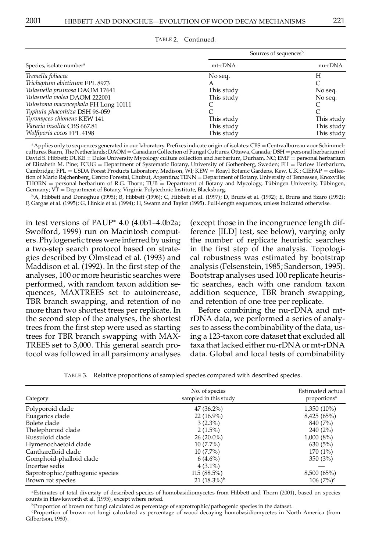|                                      |            | Sources of sequences <sup>b</sup> |
|--------------------------------------|------------|-----------------------------------|
| Species, isolate number <sup>a</sup> | mt-rDNA    | nu-rDNA                           |
| Tremella foliacea                    | No seq.    | H                                 |
| Trichaptum abietinum FPL 8973        | А          |                                   |
| Tulasnella pruinosa DAOM 17641       | This study | No seq.                           |
| Tulasnella violea DAOM 222001        | This study | No seq.                           |
| Tulostoma macrocephala FH Long 10111 |            |                                   |
| Typhula phacorhiza DSH 96-059        |            |                                   |
| Tyromyces chioneus KEW 141           | This study | This study                        |
| Vararia insolita CBS 667.81          | This study | This study                        |
| Wolfiporia cocos FPL 4198            | This study | This study                        |

TABLE 2. Continued.

<sup>a</sup> Applies only to sequences generated in our laboratory. Prefixes indicate origin of isolates: CBS = Centraalbureau voor Schimmel-<br>cultures, Baarn, The Netherlands; DAOM = Canadian Collection of Fungal Cultures, Ottawa, David S. Hibbett; DUKE = Duke University Mycology culture collection and herbarium, Durham, NC; EMP = personal herbarium, of Elizabeth M. Pine; FCUG = Department of Systematic Botany, University of Gothenberg, Sweden; FH Cambridge; FPL = USDA Forest Products Laboratory, Madison, WI; KEW = Roayl Botanic Gardens, Kew, U.K.; CIEFAP = collection of Mario Rajchenberg, Centro Forestal, Chubut, Argentina; TENN = Department of Botany, University o THORN = personal herbarium of R.G. Thorn; TUB = Department of Botany and Mycology, Tübingen University, Tübingen, Germany; VT = Department of Botany, Virginia Polytechnic Institute, Blacksburg.<br><sup>b</sup>A, Hibbett and Donoghue (

F, Gargas et al. (1995); G, Hinkle et al. (1994); H, Swann and Taylor (1995). Full-length sequences, unless indicated otherwise.

in test versions of PAUP ¤ 4.0 (4.0b1–4.0b2a; Swofford, 1999) run on Macintosh comput ers.Phylogenetic treeswere inferredby using a two-step search protocol based on strate gies described by Olmstead et al. (1993) and Maddison et al. (1992). In the first step of the analyses, 100 or more heuristic searches were performed, with random taxon addition se quences, MAXTREES set to autoincrease, TBR branch swapping, and retention of no more than two shortest trees per replicate. In the second step of the analyses, the shortest trees from the first step were used as starting trees for TBR branch swapping with MAX- TREES set to 3,000. This general search protocol was followed in all parsimony analyses

(except those in the incongruence length difference [ILD] test, see below), varying only the number of replicate heuristic searches in the first step of the analysis. Topological robustness was estimated by bootstrap analysis (Felsenstein, 1985; Sanderson, 1995). Bootstrap analyses used 100 replicate heuristic searches, each with one random taxon addition sequence, TBR branch swapping, and retention of one tree per replicate.

Before combining the nu-rDNA and mt rDNA data, we performed a series of analy ses to assess the combinability of the data, using a 123-taxon core dataset that excluded all taxa thatlackedeither nu-rDNA ormt-rDNA data. Global and local tests of combinability

TABLE 3. Relative proportions of sampled species compared with described species.

| Category                        | No. of species<br>sampled in this study | Estimated actual<br>proportions <sup>a</sup> |  |
|---------------------------------|-----------------------------------------|----------------------------------------------|--|
| Polyporoid clade                | $47(36.2\%)$                            | $1,350(10\%)$                                |  |
| Euagarics clade                 | $22(16.9\%)$                            | 8,425(65%)                                   |  |
| Bolete clade                    | $3(2.3\%)$                              | 840 (7%)                                     |  |
| Thelephoroid clade              | $2(1.5\%)$                              | 240(2%)                                      |  |
| Russuloid clade                 | $26(20.0\%)$                            | 1,000(8%)                                    |  |
| Hymenochaetoid clade            | $10(7.7\%)$                             | 630(5%)                                      |  |
| Cantharelloid clade             | $10(7.7\%)$                             | 170 (1%)                                     |  |
| Gomphoid-phalloid clade         | $6(4.6\%)$                              | 350(3%)                                      |  |
| Incertae sedis                  | $4(3.1\%)$                              |                                              |  |
| Saprotrophic/pathogenic species | $115(88.5\%)$                           | 8,500(65%)                                   |  |
| Brown rot species               | 21 $(18.3\%)^b$                         | $106 (7%)^c$                                 |  |

<sup>a</sup>Estimates of total diversity of described species of homobasidiomycetes from Hibbett and Thorn (2001), based on species counts in Hawksworth et al. (1995), except where noted.

<sup>b</sup>Proportion of brown rot fungi calculated as percentage of saprotrophic/pathogenic species in the dataset.

<sup>c</sup>Proportion of brown rot fungi calculated as percentage of wood decaying homobasidiomycetes in North America (from Gilbertson, 1980).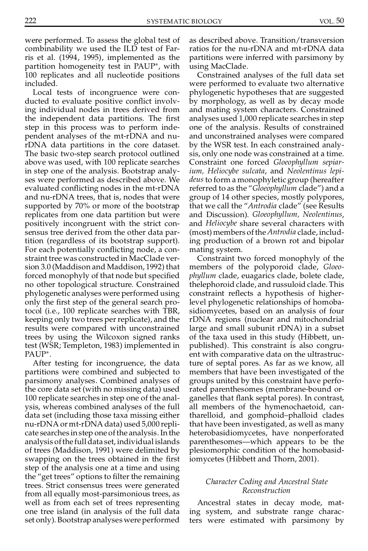were performed. To assess the global test of combinability we used the ILD test of Far ris et al. (1994, 1995), implemented as the partition homogeneity test in PAUP\*, with u 100 replicates and all nucleotide positions included.

Local tests of incongruence were con ducted to evaluate positive conflict involving individual nodes in trees derived from the independent data partitions. The first step in this process was to perform inde pendent analyses of the mt-rDNA and nu rDNA data partitions in the core dataset. The basic two-step search protocol outlined above was used, with 100 replicate searches in step one of the analysis. Bootstrap analy ses were performed as described above. We evaluated conflicting nodes in the mt-rDNA and nu-rDNA trees, that is, nodes that were supported by 70% or more of the bootstrap replicates from one data partition but were positively incongruent with the strict con sensus tree derived from the other data partition (regardless of its bootstrap support). For each potentially conflicting node, a constraint tree was constructed in MacClade ver sion 3.0 (Maddison and Maddison, 1992) that forced monophyly of that node but specified no other topological structure. Constrained phylogenetic analyses were performed using only the first step of the general search protocol (i.e., 100 replicate searches with TBR, keeping only two trees perreplicate), and the results were compared with unconstrained trees by using the Wilcoxon signed ranks test (WSR; Templeton, 1983) implemented in PAUP\*.

After testing for incongruence, the data partitions were combined and subjected to parsimony analyses. Combined analyses of the core data set (with no missing data) used 100 replicate searches in step one of the anal ysis, whereas combined analyses of the full data set (including those taxa missing either nu-rDNA or mt-rDNA data) used 5,000 repli cate searches in step one of the analysis. In the analysis ofthe fulldata set, individual islands of trees (Maddison, 1991) were delimited by swapping on the trees obtained in the first step of the analysis one at a time and using the "get trees" options to filter the remaining trees. Strict consensus trees were generated from all equally most-parsimonious trees, as well as from each set of trees representing one tree island (in analysis of the full data set only). Bootstrap analyses were performed

as described above. Transition/transversion ratios for the nu-rDNA and mt-rDNA data partitions were inferred with parsimony by using MacClade.

Constrained analyses of the full data set were performed to evaluate two alternative phylogenetic hypotheses that are suggested by morphology, as well as by decay mode and mating system characters. Constrained analyses used 1,000 replicate searches in step one of the analysis. Results of constrained and unconstrained analyses were compared by the WSR test. In each constrained analy sis, only one node was constrained at a time. Constraint one forced *Gloeophyllum sepiarium, Heliocybe sulcata*, and *Neolentinus lepi deus* to form a monophyletic group (hereafter referred to as the "*Gloeophyllum* clade") and a group of 14 other species, mostly polypores, that we call the "*Antrodia* clade" (see Results and Discussion). *Gloeophyllum, Neolentinus*, and *Heliocybe* share several characters with (most) members ofthe *Antrodia* clade, including production of a brown rot and bipolar mating system.

Constraint two forced monophyly of the members of the polyporoid clade, *Gloeophyllum* clade, euagarics clade, bolete clade, thelephoroid clade, and russuloid clade. This constraint reflects a hypothesis of higherlevel phylogenetic relationships of homoba sidiomycetes, based on an analysis of four rDNA regions (nuclear and mitochondrial large and small subunit rDNA) in a subset of the taxa used in this study (Hibbett, un published). This constraint is also congru ent with comparative data on the ultrastructure of septal pores. As far as we know, all members that have been investigated of the groups united by this constraint have perfo rated parenthesomes (membrane-bound or ganelles that flank septal pores). In contrast, all members of the hymenochaetoid, cantharelloid, and gomphoid–phalloid clades that have been investigated, as well as many heterobasidiomycetes, have nonperforated parenthesomes—which appears to be the plesiomorphic condition of the homobasidiomycetes (Hibbett and Thorn, 2001).

### *Character Coding and Ancestral State Reconstruction*

Ancestral states in decay mode, mating system, and substrate range characters were estimated with parsimony by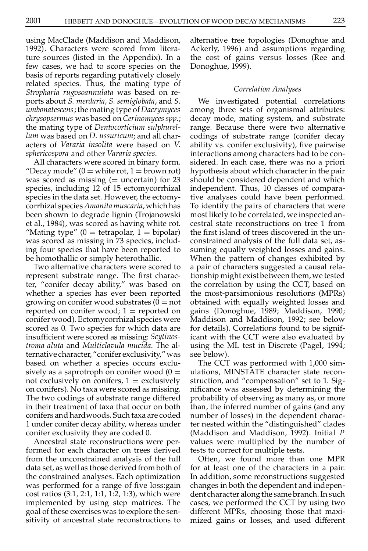using MacClade (Maddison and Maddison, 1992). Characters were scored from literature sources (listed in the Appendix). In a few cases, we had to score species on the basis of reports regarding putatively closely related species. Thus, the mating type of *Stropharia rugosoannulata* was based on re ports about *S. merdaria, S. semiglobata*, and *S. umbonatescens*; the mating type of*Dacrymyces chrysopsermus* was based on *Cerinomyces spp*.; the mating type of *Dentocorticium sulphurellum* was based on *D. ussuricum*; and all char acters of *Vararia insolita* were based on *V. sphericospora* and other *Vararia species*.

All characters were scored in binary form. "Decay mode"  $(0 = \text{white rot}, 1 = \text{brown rot})$ was scored as missing  $(=$  uncertain) for 23 species, including 12 of 15 ectomycorrhizal species in the data set. However, the ectomy corrhizal species *Amanitamuscaria*, whichhas been shown to degrade lignin (Trojanowski et al., 1984), was scored as having white rot. "Mating type"  $(0 = \text{tetrapolar}, 1 = \text{bipolar})$ was scored as missing in 73 species, including four species that have been reported to be homothallic or simply heterothallic.

Two alternative characters were scored to represent substrate range. The first character, "conifer decay ability," was based on whether a species has ever been reported growing on conifer wood substrates  $(0 = not$ reported on conifer wood;  $1$  = reported on conifer wood). Ectomycorrhizal species were scored as 0. Two species for which data are insufficient were scored as missing: *Scytinostroma aluta* and *Multiclavula mucida*. The alternative character, "conifer exclusivity,"was based on whether a species occurs exclu sively as a saprotroph on conifer wood  $(0 =$ not exclusively on conifers,  $1 =$  exclusively on conifers). No taxa were scored as missing. The two codings of substrate range differed in their treatment of taxa that occur on both conifers and hardwoods. Such taxa are coded 1 under conifer decay ability, whereas under conifer exclusivity they are coded 0.

Ancestral state reconstructions were performed for each character on trees derived from the unconstrained analysis of the full data set, as well as those derived from both of the constrained analyses. Each optimization was performed for a range of five loss: gain cost ratios (3:1, 2:1, 1:1, 1:2, 1:3), which were implemented by using step matrices. The goal of these exercises was to explore the sen sitivity of ancestral state reconstructions to

alternative tree topologies (Donoghue and Ackerly, 1996) and assumptions regarding the cost of gains versus losses (Ree and Donoghue, 1999).

### *Correlation Analyses*

We investigated potential correlations among three sets of organismal attributes: decay mode, mating system, and substrate range. Because there were two alternative codings of substrate range (conifer decay ability vs. conifer exclusivity), five pairwise interactions among characters had to be con sidered. In each case, there was no a priori hypothesis about which character in the pair should be considered dependent and which independent. Thus, 10 classes of comparative analyses could have been performed. To identify the pairs of characters that were most likely to be correlated, we inspected an cestral state reconstructions on tree 1 from the first island of trees discovered in the unconstrained analysis of the full data set, as suming equally weighted losses and gains. When the pattern of changes exhibited by a pair of characters suggested a causal relationship might exist between them, we tested the correlation by using the CCT, based on the most-parsimonious resolutions (MPRs) obtained with equally weighted losses and gains (Donoghue, 1989; Maddison, 1990; Maddison and Maddison, 1992; see below for details). Correlations found to be significant with the CCT were also evaluated by using the ML test in Discrete (Pagel, 1994; see below).

The CCT was performed with 1,000 sim ulations, MINSTATE character state recon struction, and "compensation" set to 1. Sig nicance was assessed by determining the probability of observing as many as, or more than, the inferred number of gains (and any number of losses) in the dependent character nested within the "distinguished" clades (Maddison and Maddison, 1992). Initial *P* values were multiplied by the number of tests to correct for multiple tests.

Often, we found more than one MPR for at least one of the characters in a pair. In addition, some reconstructions suggested changes in both the dependent and indepen dent character along the same branch. In such cases, we performed the CCT by using two different MPRs, choosing those that maxi mized gains or losses, and used different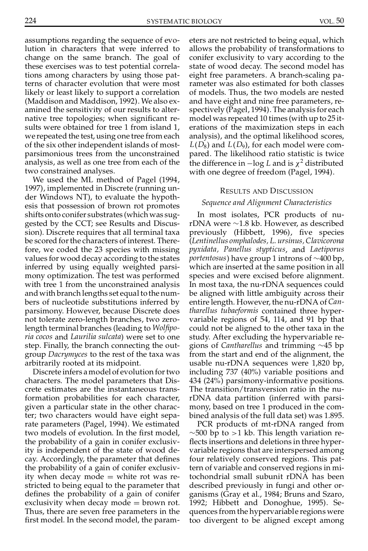terns of character evolution that were most likely or least likely to support a correlation (Maddison and Maddison, 1992). We also ex amined the sensitivity of our results to alter native tree topologies; when significant results were obtained for tree 1 from island 1, we repeated the test, using one tree from each of the six other independent islands of most parsimonious trees from the unconstrained analysis, as well as one tree from each of the two constrained analyses.

We used the ML method of Pagel (1994, 1997), implemented in Discrete (running un der Windows NT), to evaluate the hypoth esis that possession of brown rot promotes shifts onto conifer substrates (which was sug gested by the CCT; see Results and Discus sion). Discrete requires that all terminal taxa be scored for the characters of interest. Therefore, we coded the 23 species with missing values for wood decay according to the states inferred by using equally weighted parsi mony optimization. The test was performed with tree 1 from the unconstrained analysis and with branch lengths set equal to the numbers of nucleotide substitutions inferred by parsimony. However, because Discrete does not tolerate zero-length branches, two zerolength terminal branches (leading to *Wolporia cocos* and *Laurilia sulcata*) were set to one step. Finally, the branch connecting the out group *Dacrymyces* to the rest of the taxa was arbitrarily rooted at its midpoint.

Discrete infers a model of evolution for two characters. The model parameters that Dis crete estimates are the instantaneous transformation probabilities for each character, given a particular state in the other character; two characters would have eight sepa rate parameters (Pagel, 1994). We estimated two models of evolution. In the first model, the probability of a gain in conifer exclusivity is independent of the state of wood de cay. Accordingly, the parameter that defines the probability of a gain of conifer exclusivity when decay mode  $=$  white rot was restricted to being equal to the parameter that defines the probability of a gain of conifer exclusivity when decay mode  $=$  brown rot. Thus, there are seven free parameters in the first model. In the second model, the parameters are not restricted to being equal, which allows the probability of transformations to conifer exclusivity to vary according to the state of wood decay. The second model has eight free parameters. A branch-scaling pa rameter was also estimated for both classes of models. Thus, the two models are nested and have eight and nine free parameters, re spectively (Pagel, 1994). The analysis for each model was repeated 10 times (with up to 25 iterations of the maximization steps in each analysis), and the optimal likelihood scores, *L*(*D*8) and *L*(*D*9), for each model were com pared. The likelihood ratio statistic is twice the difference in  $-\log L$  and is  $\chi^2$  distributed with one degree of freedom (Pagel, 1994).

### RESULTS AND DISCUSSION

#### *Sequence and Alignment Characteristics*

In most isolates, PCR products of nu rDNA were  $\sim$ 1.8 kb. However, as described previously (Hibbett, 1996), five species (*Lentinellus omphalodes, L. ursinus,Clavicorona pyxidata, Panellus stypticus*, and *Laetiporus portentosus*) have group 1 introns of  $\sim$ 400 bp, which are inserted at the same position in all species and were excised before alignment. In most taxa, the nu-rDNA sequences could be aligned with little ambiguity across their entire length. However, the nu-rDNA of *Cantharellus tubaeformis* contained three hyper variable regions of 54, 114, and 91 bp that could not be aligned to the other taxa in the study. After excluding the hypervariable re gions of *Cantharellus* and trimming »45 bp from the start and end of the alignment, the usable nu-rDNA sequences were 1,820 bp, including 737 (40%) variable positions and 434 (24%) parsimony-informative positions. The transition/transversion ratio in the nu rDNA data partition (inferred with parsi mony, based on tree 1 produced in the com bined analysis of the full data set) was 1.895.

PCR products of mt-rDNA ranged from  $\sim$ 500 bp to  $>$ 1 kb. This length variation reflects insertions and deletions in three hypervariable regions that are interspersed among four relatively conserved regions. This pattern of variable and conserved regions in mitochondrial small subunit rDNA has been described previously in fungi and other or ganisms (Gray et al., 1984; Bruns and Szaro, 1992; Hibbett and Donoghue, 1995). Se quences from the hypervariable regions were too divergent to be aligned except among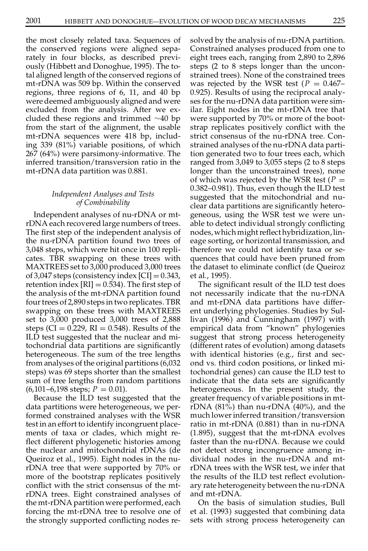the most closely related taxa. Sequences of the conserved regions were aligned sepa rately in four blocks, as described previ ously (Hibbett and Donoghue, 1995). The total aligned length of the conserved regions of mt-rDNA was 509 bp. Within the conserved regions, three regions of 6, 11, and 40 bp were deemed ambiguously aligned and were excluded from the analysis. After we ex cluded these regions and trimmed  $\sim$ 40 bp from the start of the alignment, the usable mt-rDNA sequences were 418 bp, including 339 (81%) variable positions, of which 267 (64%) were parsimony-informative. The inferred transition/transversion ratio in the mt-rDNA data partition was 0.881.

# *Independent Analyses and Tests of Combinability*

Independent analyses of nu-rDNA or mt rDNA each recovered large numbers of trees. The first step of the independent analysis of the nu-rDNA partition found two trees of 3,048 steps, which were hit once in 100 repli cates. TBR swapping on these trees with MAXTREES set to 3,000 produced 3,000 trees of 3,047 steps (consistency index  $[CI] = 0.343$ , retention index  $[RI] = 0.534$ . The first step of the analysis of the mt-rDNA partition found four trees of 2,890 steps in two replicates. TBR swapping on these trees with MAXTREES set to 3,000 produced 3,000 trees of 2,888 steps (CI  $= 0.229$ , RI  $= 0.548$ ). Results of the ILD test suggested that the nuclear and mitochondrial data partitions are significantly heterogeneous. The sum of the tree lengths from analyses of the original partitions (6,032 steps) was 69 steps shorter than the smallest sum of tree lengths from random partitions  $(6,101-6,198 \text{ steps}; P = 0.01).$ 

Because the ILD test suggested that the data partitions were heterogeneous, we performed constrained analyses with the WSR test in an effort to identify incongruent place ments of taxa or clades, which might re flect different phylogenetic histories among the nuclear and mitochondrial rDNAs (de Queiroz et al., 1995). Eight nodes in the nu rDNA tree that were supported by 70% or more of the bootstrap replicates positively conflict with the strict consensus of the mtrDNA trees. Eight constrained analyses of the mt-rDNA partition were performed, each forcing the mt-rDNA tree to resolve one of the strongly supported conflicting nodes resolved by the analysis of nu-rDNA partition. Constrained analyses produced from one to eight trees each, ranging from 2,890 to 2,896 steps (2 to 8 steps longer than the uncon strained trees). None of the constrained trees was rejected by the WSR test  $(P = 0.467-$ 0.925). Results of using the reciprocal analy ses for the nu-rDNA data partition were similar. Eight nodes in the mt-rDNA tree that were supported by 70% or more of the boot strap replicates positively conflict with the strict consensus of the nu-rDNA tree. Con strained analyses of the nu-rDNA data partition generated two to four trees each, which ranged from 3,049 to 3,055 steps (2 to 8 steps longer than the unconstrained trees), none of which was rejected by the WSR test ( $P =$ 0.382–0.981). Thus, even though the ILD test suggested that the mitochondrial and nu clear data partitions are significantly heterogeneous, using the WSR test we were un able to detect individual strongly conflicting nodes, which might reflect hybridization, lineage sorting, or horizontal transmission, and therefore we could not identify taxa or se quences that could have been pruned from the dataset to eliminate conflict (de Queiroz et al., 1995).

The significant result of the ILD test does not necessarily indicate that the nu-rDNA and mt-rDNA data partitions have differ ent underlying phylogenies. Studies by Sullivan (1996) and Cunningham (1997) with empirical data from "known" phylogenies suggest that strong process heterogeneity (different rates of evolution) among datasets with identical histories (e.g., first and second vs. third codon positions, or linked mitochondrial genes) can cause the ILD test to indicate that the data sets are significantly heterogeneous. In the present study, the greater frequency of variable positions in mtrDNA (81%) than nu-rDNA (40%), and the much lowerinferred transition/transversion ratio in mt-rDNA (0.881) than in nu-rDNA (1.895), suggest that the mt-rDNA evolves faster than the nu-rDNA. Because we could not detect strong incongruence among in dividual nodes in the nu-rDNA and mt rDNA trees with the WSR test, we infer that the results of the ILD test reflect evolutionary rate heterogeneity between the nu-rDNA and mt-rDNA.

On the basis of simulation studies, Bull et al. (1993) suggested that combining data sets with strong process heterogeneity can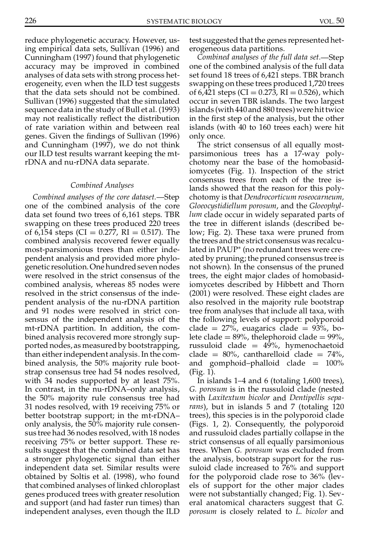reduce phylogenetic accuracy. However, using empirical data sets, Sullivan (1996) and Cunningham (1997) found that phylogenetic accuracy may be improved in combined analyses of data sets with strong process het erogeneity, even when the ILD test suggests that the data sets should not be combined. Sullivan (1996) suggested that the simulated sequence data in the study of Bull et al. (1993) may not realistically reflect the distribution of rate variation within and between real genes. Given the findings of Sullivan (1996) and Cunningham (1997), we do not think our ILD test results warrant keeping the mt rDNA and nu-rDNA data separate.

### *Combined Analyses*

*Combined analyses of the core dataset.*—Step one of the combined analysis of the core data set found two trees of 6,161 steps. TBR swapping on these trees produced 220 trees of 6,154 steps (CI = 0.277, RI = 0.517). The combined analysis recovered fewer equally most-parsimonious trees than either inde pendent analysis and provided more phylo genetic resolution. One hundred seven nodes were resolved in the strict consensus of the combined analysis, whereas 85 nodes were resolved in the strict consensus of the inde pendent analysis of the nu-rDNA partition and 91 nodes were resolved in strict con sensus of the independent analysis of the mt-rDNA partition. In addition, the com bined analysis recovered more strongly sup ported nodes, as measured by bootstrapping, than either independent analysis. In the combined analysis, the 50% majority rule boot strap consensus tree had 54 nodes resolved, with 34 nodes supported by at least 75%. In contrast, in the nu-rDNA–only analysis, the 50% majority rule consensus tree had 31 nodes resolved, with 19 receiving 75% or better bootstrap support; in the mt-rDNA– only analysis, the 50% majority rule consen sus tree had 36 nodes resolved, with 18 nodes receiving 75% or better support. These results suggest that the combined data set has a stronger phylogenetic signal than either independent data set. Similar results were obtained by Soltis et al. (1998), who found that combined analyses of linked chloroplast genes produced trees with greater resolution and support (and had faster run times) than independent analyses, even though the ILD test suggested that the genes represented heterogeneous data partitions.

*Combined analyses of the full data set.*—Step one of the combined analysis of the full data set found 18 trees of 6,421 steps. TBR branch swapping on these trees produced 1,720 trees of  $6,\overline{4}21$  steps (CI = 0.273, RI = 0.526), which occur in seven TBR islands. The two largest islands (with 440 and 880 trees) were hit twice in the first step of the analysis, but the other islands (with 40 to 160 trees each) were hit only once.

The strict consensus of all equally most parsimonious trees has a 17-way poly chotomy near the base of the homobasidiomycetes (Fig. 1). Inspection of the strict consensus trees from each of the tree islands showed that the reason for this poly chotomy is that *Dendrocorticum roseocarneum, Gloeocystidiellum porosum*, and the *Gloeophyllum* clade occur in widely separated parts of the tree in different islands (described below; Fig. 2). These taxa were pruned from the trees and the strict consensus was recalculated in PAUP ¤ (no redundant trees were cre ated by pruning; the pruned consensus tree is not shown). In the consensus of the pruned trees, the eight major clades of homobasidiomycetes described by Hibbett and Thorn (2001) were resolved. These eight clades are also resolved in the majority rule bootstrap tree from analyses that include all taxa, with the following levels of support: polyporoid clade  $= 27\%$ , euagarics clade  $= 93\%$ , bolete clade  $= 89\%$ , thelephoroid clade  $= 99\%$ , russuloid clade =  $49\%$ , hymenochaetoid clade =  $80\%$ , cantharelloid clade =  $74\%$ , and gomphoid–phalloid clade  $= 100\%$ (Fig. 1).

In islands 1–4 and 6 (totaling 1,600 trees), *G. porosum* is in the russuloid clade (nested with *Laxitextum bicolor* and *Dentipellis sepa rans*), but in islands 5 and 7 (totaling 120 trees), this species is in the polyporoid clade (Figs. 1, 2). Consequently, the polyporoid and russuloid clades partially collapse in the strict consensus of all equally parsimonious trees. When *G. porosum* was excluded from the analysis, bootstrap support for the rus suloid clade increased to 76% and support for the polyporoid clade rose to 36% (lev els of support for the other major clades were not substantially changed; Fig. 1). Sev eral anatomical characters suggest that *G. porosum* is closely related to *L. bicolor* and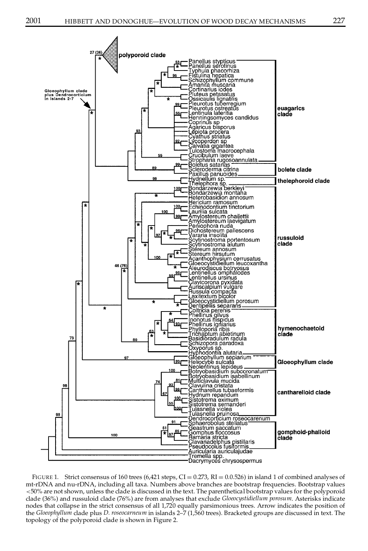

FIGURE 1. Strict consensus of 160 trees (6,421 steps, CI = 0.273, RI = 0.0.526) in island 1 of combined analyses of mt-rDNA and nu-rDNA, including all taxa. Numbers above branches are bootstrap frequencies. Bootstrap values <50% are not shown, unless the clade is discussed in the text. The parenthetical bootstrap values for the polyporoid clade (36%) and russuloid clade (76%) are from analyses that exclude *Gloeocystidiellum porosum*. Asterisks indicate nodes that collapse in the strict consensus of all 1,720 equally parsimonious trees. Arrow indicates the position of the *Gloeophyllum* clade plus *D. roseocarneum* in islands 2–7 (1,560 trees). Bracketed groups are discussed in text. The topology of the polyporoid clade is shown in Figure 2.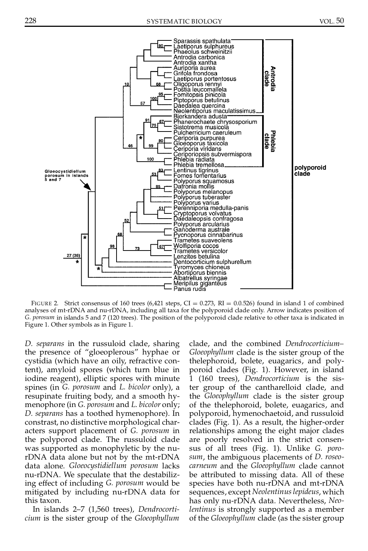

FIGURE 2. Strict consensus of 160 trees (6,421 steps, CI = 0.273, RI = 0.0.526) found in island 1 of combined analyses of mt-rDNA and nu-rDNA, including all taxa for the polyporoid clade only. Arrow indicates position of *G. porosum* in islands 5 and 7 (120 trees). The position of the polyporoid clade relative to other taxa is indicated in Figure 1. Other symbols as in Figure 1.

*D. separans* in the russuloid clade, sharing the presence of "gloeoplerous" hyphae or cystidia (which have an oily, refractive content), amyloid spores (which turn blue in iodine reagent), elliptic spores with minute spines (in *G. porosum* and *L. bicolor* only), a resupinate fruiting body, and a smooth hy menophore (in *G. porosum* and *L. bicolor* only; *D. separans* has a toothed hymenophore). In constrast, no distinctive morphological char acters support placement of *G. porosum* in the polyporod clade. The russuloid clade was supported as monophyletic by the nu rDNA data alone but not by the mt-rDNA data alone. *Gloeocystidiellum porosum* lacks nu-rDNA. We speculate that the destabilizing effect of including *G. porosum* would be mitigated by including nu-rDNA data for this taxon.

In islands 2–7 (1,560 trees), *Dendrocorticium* isthe sister group of the *Gloeophyllum*

clade, and the combined *Dendrocorticium– Gloeophyllum* clade is the sister group of the thelephoroid, bolete, euagarics, and poly poroid clades (Fig. 1). However, in island 1 (160 trees), *Dendrocorticium* is the sister group of the cantharelloid clade, and the *Gloeophyllum* clade is the sister group of the thelephoroid, bolete, euagarics, and polyporoid, hymenochaetoid, and russuloid clades (Fig. 1). As a result, the higher-order relationships among the eight major clades are poorly resolved in the strict consen sus of all trees (Fig. 1). Unlike *G. porosum*, the ambiguous placements of *D. roseocarneum* and the *Gloeophyllum* clade cannot be attributed to missing data. All of these species have both nu-rDNA and mt-rDNA sequences, except *Neolentinuslepideus*, which has only nu-rDNA data. Nevertheless, *Neolentinus* is strongly supported as a member of the *Gloeophyllum* clade (as the sister group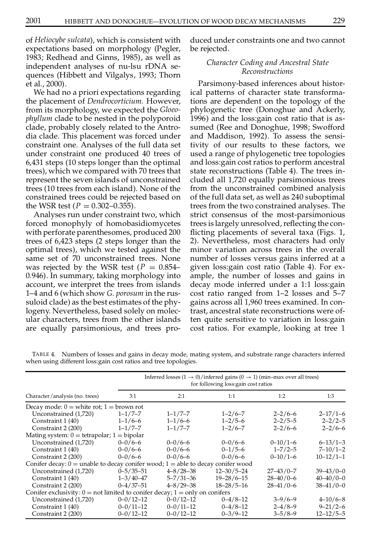of *Heliocybe sulcata*), which is consistent with expectations based on morphology (Pegler, 1983; Redhead and Ginns, 1985), as well as independent analyses of nu-lsu rDNA se quences (Hibbett and Vilgalys, 1993; Thorn et al., 2000).

We had no a priori expectations regarding the placement of *Dendrocorticium.* However, from its morphology, we expected the *Gloeophyllum* clade to be nested in the polyporoid clade, probably closely related to the Antro dia clade. This placement was forced under constraint one. Analyses of the full data set under constraint one produced 40 trees of 6,431 steps (10 steps longer than the optimal trees), which we compared with 70 trees that represent the seven islands of unconstrained trees (10 trees from each island). None of the constrained trees could be rejected based on the WSR test ( $P = 0.302 - 0.355$ ).

Analyses run under constraint two, which forced monophyly of homobasidiomycetes with perforate parenthesomes, produced 200 trees of 6,423 steps (2 steps longer than the optimal trees), which we tested against the same set of 70 unconstrained trees. None was rejected by the WSR test  $(P = 0.854-$ 0.946). In summary, taking morphology into account, we interpret the trees from islands 1–4 and 6 (which show *G. porosum* in the russuloid clade) as the best estimates of the phylogeny. Nevertheless, based solely on molec ular characters, trees from the other islands are equally parsimonious, and trees produced under constraints one and two cannot be rejected.

# *Character Coding and Ancestral State Reconstructions*

Parsimony-based inferences about historical patterns of character state transformations are dependent on the topology of the phylogenetic tree (Donoghue and Ackerly, 1996) and the loss:gain cost ratio that is as sumed (Ree and Donoghue, 1998; Swofford and Maddison, 1992). To assess the sensitivity of our results to these factors, we used a range of phylogenetic tree topologies and loss:gain cost ratios to perform ancestral state reconstructions (Table 4). The trees in cluded all 1,720 equally parsimonious trees from the unconstrained combined analysis of the full data set, as well as 240 suboptimal trees from the two constrained analyses. The strict consensus of the most-parsimonious trees is largely unresolved, reflecting the conflicting placements of several taxa (Figs. 1, 2). Nevertheless, most characters had only minor variation across trees in the overall number of losses versus gains inferred at a given loss:gain cost ratio (Table 4). For ex ample, the number of losses and gains in decay mode inferred under a 1:1 loss:gain cost ratio ranged from 1–2 losses and 5–7 gains across all 1,960 trees examined. In contrast, ancestral state reconstructions were often quite sensitive to variation in loss:gain cost ratios. For example, looking at tree 1

|                                                                                     |                 | Inferred losses $(1 \rightarrow 0)$ /inferred gains $(0 \rightarrow 1)$ (min-max over all trees) |                  |                 |                 |  |  |  |  |
|-------------------------------------------------------------------------------------|-----------------|--------------------------------------------------------------------------------------------------|------------------|-----------------|-----------------|--|--|--|--|
|                                                                                     |                 | for following loss: gain cost ratios                                                             |                  |                 |                 |  |  |  |  |
| Character/analysis (no. trees)                                                      | 3:1             | 2:1                                                                                              | 1:1              | 1:2             | 1:3             |  |  |  |  |
| Decay mode: $0 =$ white rot; $1 =$ brown rot                                        |                 |                                                                                                  |                  |                 |                 |  |  |  |  |
| Unconstrained (1,720)                                                               | $1 - 1/7 - 7$   | $1 - 1/7 - 7$                                                                                    | $1 - 2/6 - 7$    | $2 - 2/6 - 6$   | $2 - 17/1 - 6$  |  |  |  |  |
| Constraint 1 (40)                                                                   | $1 - 1/6 - 6$   | $1 - 1/6 - 6$                                                                                    | $1 - 2/5 - 6$    | $2 - 2/5 - 5$   | $2 - 2/2 - 5$   |  |  |  |  |
| Constraint 2 (200)                                                                  | $1 - 1/7 - 7$   | $1 - 1/7 - 7$                                                                                    | $1 - 2/6 - 7$    | $2 - 2/6 - 6$   | $2 - 2/6 - 6$   |  |  |  |  |
| Mating system: $0 = \text{tetrapolar}$ ; $1 = \text{bipolar}$                       |                 |                                                                                                  |                  |                 |                 |  |  |  |  |
| Unconstrained (1,720)                                                               | $0 - 0/6 - 6$   | $0 - 0/6 - 6$                                                                                    | $0 - 0/6 - 6$    | $0 - 10/1 - 6$  | $6 - 13/1 - 3$  |  |  |  |  |
| Constraint 1 (40)                                                                   | $0 - 0/6 - 6$   | $0 - 0/6 - 6$                                                                                    | $0 - 1/5 - 6$    | $1 - 7/2 - 5$   | $7 - 10/1 - 2$  |  |  |  |  |
| Constraint 2 (200)                                                                  | $0 - 0/6 - 6$   | $0 - 0/6 - 6$                                                                                    | $0 - 0/6 - 6$    | $0 - 10/1 - 6$  | $10 - 12/1 - 1$ |  |  |  |  |
| Conifer decay: $0 =$ unable to decay conifer wood; $1 =$ able to decay conifer wood |                 |                                                                                                  |                  |                 |                 |  |  |  |  |
| Unconstrained (1,720)                                                               | $0 - 5/35 - 51$ | $4 - 8/28 - 38$                                                                                  | $12 - 30/5 - 24$ | $27 - 43/0 - 7$ | $39 - 43/0 - 0$ |  |  |  |  |
| Constraint 1 (40)                                                                   | $1 - 3/40 - 47$ | $5 - 7/31 - 36$                                                                                  | $19 - 28/6 - 15$ | $28 - 40/0 - 6$ | $40 - 40/0 - 0$ |  |  |  |  |
| Constraint 2 (200)                                                                  | $0 - 4/37 - 51$ | $4 - 8/29 - 38$                                                                                  | $18 - 28/5 - 16$ | $28 - 41/0 - 6$ | $38 - 41/0 - 0$ |  |  |  |  |
| Conifer exclusivity: $0 =$ not limited to conifer decay; $1 =$ only on conifers     |                 |                                                                                                  |                  |                 |                 |  |  |  |  |
| Unconstrained (1,720)                                                               | $0 - 0/12 - 12$ | $0 - 0/12 - 12$                                                                                  | $0 - 4/8 - 12$   | $3 - 9/6 - 9$   | $4 - 10/6 - 8$  |  |  |  |  |
| Constraint 1 (40)                                                                   | $0 - 0/11 - 12$ | $0 - 0/11 - 12$                                                                                  | $0 - 4/8 - 12$   | $2 - 4/8 - 9$   | $9 - 21/2 - 6$  |  |  |  |  |
| Constraint 2 (200)                                                                  | $0 - 0/12 - 12$ | $0 - 0/12 - 12$                                                                                  | $0 - 3/9 - 12$   | $3 - 5/8 - 9$   | $12 - 12/5 - 5$ |  |  |  |  |

TABLE 4. Numbers of losses and gains in decay mode, mating system, and substrate range characters inferred when using different loss:gain cost ratios and tree topologies.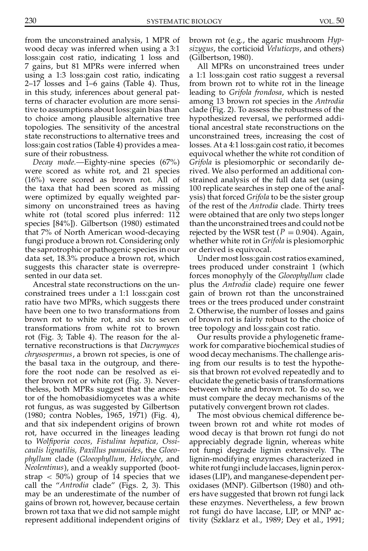from the unconstrained analysis, 1 MPR of wood decay was inferred when using a 3:1 loss:gain cost ratio, indicating 1 loss and 7 gains, but 81 MPRs were inferred when using a 1:3 loss:gain cost ratio, indicating  $2-17$  losses and  $1-6$  gains (Table 4). Thus, in this study, inferences about general patterns of character evolution are more sensitive to assumptions about loss:gain bias than to choice among plausible alternative tree topologies. The sensitivity of the ancestral state reconstructions to alternative trees and loss:gain costratios (Table 4) provides a mea sure of their robustness.

*Decay mode.—*Eighty-nine species (67%) were scored as white rot, and 21 species (16%) were scored as brown rot. All of the taxa that had been scored as missing were optimized by equally weighted par simony on unconstrained trees as having white rot (total scored plus inferred: 112 species [84%]). Gilbertson (1980) estimated that 7% of North American wood-decaying rejected by the WSR test ( $P = 0.904$ ). Again, fungi produce a brown rot. Considering only the saprotrophic or pathogenic species in our data set, 18.3% produce a brown rot, which suggests this character state is overrepre sented in our data set.

Ancestral state reconstructions on the un constrained trees under a 1:1 loss:gain cost ratio have two MPRs, which suggests there have been one to two transformations from brown rot to white rot, and six to seven transformations from white rot to brown rot (Fig. 3; Table 4). The reason for the alternative reconstructions is that *Dacrymyces chrysospermus*, a brown rot species, is one of the basal taxa in the outgroup, and therefore the root node can be resolved as either brown rot or white rot (Fig. 3). Nevertheless, both MPRs suggest that the ancestor of the homobasidiomycetes was a white rot fungus, as was suggested by Gilbertson (1980; contra Nobles, 1965, 1971) (Fig. 4), and that six independent origins of brown rot, have occurred in the lineages leading to *Wolporia cocos, Fistulina hepatica, Ossi caulis lignatilis, Paxillus panuoides*, the *Gloeophyllum* clade (*Gloeophyllum, Heliocybe*, and *Neolentinus*), and a weakly supported (boot strap  $<$  50%) group of 14 species that we call the "*Antrodia* clade" (Figs. 2, 3). This may be an underestimate of the number of gains of brown rot, however, because certain brown rot taxa that we did not sample might represent additional independent origins of brown rot (e.g., the agaric mushroom *Hypsizygus*, the corticioid *Veluticeps*, and others) (Gilbertson, 1980).

All MPRs on unconstrained trees under a 1:1 loss:gain cost ratio suggest a reversal from brown rot to white rot in the lineage leading to *Grifola frondosa*, which is nested among 13 brown rot species in the *Antrodia* clade (Fig. 2). To assess the robustness of the hypothesized reversal, we performed additional ancestral state reconstructions on the unconstrained trees, increasing the cost of losses. At a 4:1 loss:gain costratio, it becomes equivocal whether the white rot condition of *Grifola* is plesiomorphic or secondarily de rived. We also performed an additional con strained analysis of the full data set (using 100 replicate searches in step one of the anal ysis) that forced *Grifola* to be the sister group of the rest of the *Antrodia* clade. Thirty trees were obtained that are only two steps longer than the unconstrained trees and could not be whether white rot in *Grifola* is plesiomorphic or derived is equivocal.

Under most loss:gain costratios examined, trees produced under constraint 1 (which forces monophyly of the *Gloeophyllum* clade plus the *Antrodia* clade) require one fewer gain of brown rot than the unconstrained trees or the trees produced under constraint 2. Otherwise, the number of losses and gains of brown rot is fairly robust to the choice of tree topology and loss:gain cost ratio.

Our results provide a phylogenetic frame work for comparative biochemical studies of wood decay mechanisms. The challenge arising from our results is to test the hypothe sis that brown rot evolved repeatedly and to elucidate the genetic basis of transformations between white and brown rot. To do so, we must compare the decay mechanisms of the putatively convergent brown rot clades.

The most obvious chemical difference between brown rot and white rot modes of wood decay is that brown rot fungi do not appreciably degrade lignin, whereas white rot fungi degrade lignin extensively. The lignin-modifying enzymes characterized in white rot fungi include laccases, lignin peroxidases (LIP), and manganese-dependent per oxidases (MNP). Gilbertson (1980) and oth ers have suggested that brown rot fungi lack these enzymes. Nevertheless, a few brown rot fungi do have laccase, LIP, or MNP activity (Szklarz et al., 1989; Dey et al., 1991;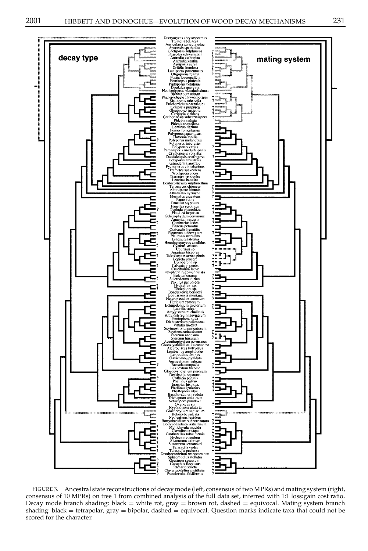

FIGURE 3. Ancestral state reconstructions of decay mode (left, consensus of two MPRs) and mating system (right, consensus of 10 MPRs) on tree 1 from combined analysis of the full data set, inferred with 1:1 loss:gain cost ratio. Decay mode branch shading: black = white rot, gray = brown rot, dashed = equivocal. Mating system branch shading: black  $=$  tetrapolar, gray  $=$  bipolar, dashed  $=$  equivocal. Question marks indicate taxa that could not be scored for the character.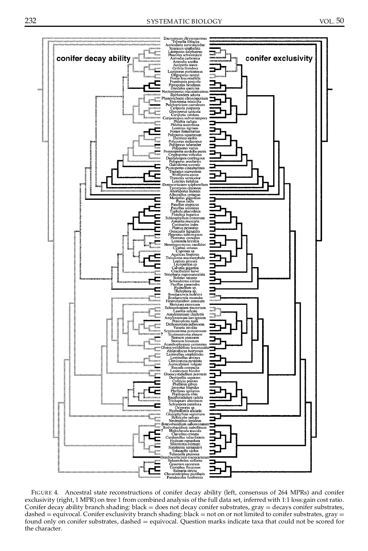

FIGURE 4. Ancestral state reconstructions of conifer decay ability (left, consensus of 264 MPRs) and conifer exclusivity (right, 1 MPR) on tree 1 from combined analysis of the full data set, inferred with 1:1 loss:gain cost ratio. Conifer decay ability branch shading: black = does not decay conifer substrates, gray = decays conifer substrates, dashed = equivocal. Conifer exclusivity branch shading: black = not on or not limited to conifer substrate found only on conifer substrates, dashed  $=$  equivocal. Question marks indicate taxa that could not be scored for the character.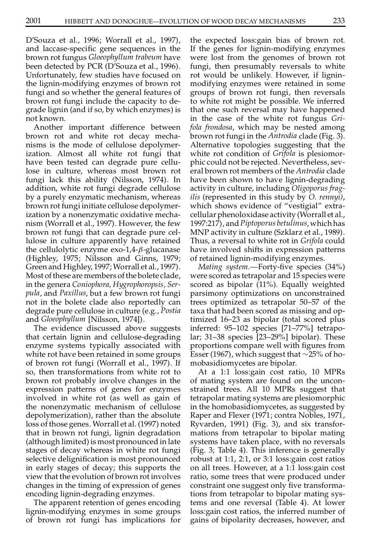D'Souza et al., 1996; Worrall et al., 1997), and laccase-specific gene sequences in the brown rot fungus *Gloeophyllum trabeum* have been detected by PCR (D'Souza et al., 1996). Unfortunately, few studies have focused on the lignin-modifying enzymes of brown rot fungi and so whether the general features of brown rot fungi include the capacity to de grade lignin (and ifso, by which enzymes) is not known.

Another important difference between brown rot and white rot decay mecha nisms is the mode of cellulose depolymerization. Almost all white rot fungi that have been tested can degrade pure cellulose in culture, whereas most brown rot fungi lack this ability (Nilsson, 1974). In addition, white rot fungi degrade cellulose by a purely enzymatic mechanism, whereas brown rot fungi initiate cellulose depolymerization by a nonenzymatic oxidative mecha nism (Worrall et al., 1997). However, the few brown rot fungi that can degrade pure cellulose in culture apparently have retained the cellulolytic enzyme exo-1,4- $\beta$ -glucanase (Highley, 1975; Nilsson and Ginns, 1979; Green and Highley, 1997;Worrall et al., 1997). Most of these are members of the bolete clade, in the genera *Coniophora, Hygrophoropsis, Ser pula*, and *Paxillus*, but a few brown rot fungi not in the bolete clade also reportedly can degrade pure cellulose in culture (e.g., *Postia* and *Gloeophyllum* [Nilsson, 1974]).

The evidence discussed above suggests that certain lignin and cellulose-degrading enzyme systems typically associated with white rot have been retained in some groups of brown rot fungi (Worrall et al., 1997). If so, then transformations from white rot to brown rot probably involve changes in the expression patterns of genes for enzymes involved in white rot (as well as gain of the nonenzymatic mechanism of cellulose depolymerization), rather than the absolute loss of those genes. Worrall et al. (1997) noted that in brown rot fungi, lignin degradation (although limited) is most pronounced in late stages of decay whereas in white rot fungi selective delignification is most pronounced in early stages of decay; this supports the view that the evolution of brown rot involves changes in the timing of expression of genes encoding lignin-degrading enzymes.

The apparent retention of genes encoding lignin-modifying enzymes in some groups of brown rot fungi has implications for

the expected loss:gain bias of brown rot. If the genes for lignin-modifying enzymes were lost from the genomes of brown rot fungi, then presumably reversals to white rot would be unlikely. However, if lignin modifying enzymes were retained in some groups of brown rot fungi, then reversals to white rot might be possible. We inferred that one such reversal may have happened in the case of the white rot fungus *Grifola frondosa*, which may be nested among brown rot fungi in the *Antrodia* clade (Fig. 3). Alternative topologies suggesting that the white rot condition of *Grifola* is plesiomor phic could not be rejected. Nevertheless, sev eral brown rot members of the *Antrodia* clade have been shown to have lignin-degrading activity in culture, including *Oligoporus fragilis* (represented in this study by *O. rennyi)*, which shows evidence of "vestigial" extra cellular phenoloxidase activity (Worrall et al., 1997:217), and*Piptoporus betulinus*, whichhas MNP activity in culture (Szklarz et al., 1989). Thus, a reversal to white rot in *Grifola* could have involved shifts in expression patterns of retained lignin-modifying enzymes.

*Mating system.—Forty-five species (34%)* were scored as tetrapolar and 15 species were scored as bipolar (11%). Equally weighted parsimony optimizations on unconstrained trees optimized as tetrapolar 50–57 of the taxa that had been scored as missing and optimized 16–23 as bipolar (total scored plus inferred: 95–102 species [71–77%] tetrapolar; 31–38 species [23–29%] bipolar). These proportions compare well with figures from Esser (1967), which suggest that  $\sim$ 25% of homobasidiomycetes are bipolar.

At a 1:1 loss:gain cost ratio, 10 MPRs of mating system are found on the uncon strained trees. All 10 MPRs suggest that tetrapolar mating systems are plesiomorphic in the homobasidiomycetes, as suggested by Raper and Flexer (1971; contra Nobles, 1971, Ryvarden, 1991) (Fig. 3), and six transfor mations from tetrapolar to bipolar mating systems have taken place, with no reversals (Fig. 3; Table 4). This inference is generally robust at 1:1, 2:1, or 3:1 loss:gain cost ratios on all trees. However, at a 1:1 loss:gain cost ratio, some trees that were produced under constraint one suggest only five transformations from tetrapolar to bipolar mating systems and one reversal (Table 4). At lower loss:gain cost ratios, the inferred number of gains of bipolarity decreases, however, and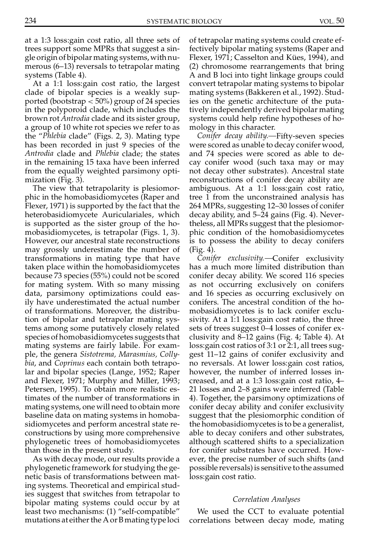at a 1:3 loss:gain cost ratio, all three sets of trees support some MPRs that suggest a sin gle origin of bipolar mating systems, with nu merous (6–13) reversals to tetrapolar mating systems (Table 4).

At a 1:1 loss:gain cost ratio, the largest clade of bipolar species is a weakly sup ported (bootstrap < 50%) group of 24 species in the polyporoid clade, which includes the brown rot *Antrodia* clade and its sister group, a group of 10 white rot species we refer to as the "*Phlebia* clade" (Figs. 2, 3). Mating type has been recorded in just 9 species of the *Antrodia* clade and *Phlebia* clade; the states in the remaining 15 taxa have been inferred from the equally weighted parsimony opti mization (Fig. 3).

The view that tetrapolarity is plesiomor phic in the homobasidiomycetes (Raper and Flexer, 1971) is supported by the fact that the heterobasidiomycete Auriculariales, which is supported as the sister group of the ho mobasidiomycetes, is tetrapolar (Figs. 1, 3). However, our ancestral state reconstructions may grossly underestimate the number of transformations in mating type that have taken place within the homobasidiomycetes because 73 species (55%) could not be scored for mating system. With so many missing data, parsimony optimizations could easily have underestimated the actual number of transformations. Moreover, the distribution of bipolar and tetrapolar mating systems among some putatively closely related species of homobasidiomycetes suggests that mating systems are fairly labile. For exam ple, the genera *Sistotrema, Marasmius, Colly bia*, and *Coprinus* each contain both tetrapolar and bipolar species (Lange, 1952; Raper and Flexer, 1971; Murphy and Miller, 1993; Petersen, 1995). To obtain more realistic estimates of the number of transformations in mating systems, one will need to obtain more baseline data on mating systems in homoba sidiomycetes and perform ancestral state re constructions by using more comprehensive phylogenetic trees of homobasidiomycetes than those in the present study.

As with decay mode, our results provide a phylogenetic framework for studying the ge netic basis of transformations between mating systems. Theoretical and empirical studies suggest that switches from tetrapolar to bipolar mating systems could occur by at least two mechanisms: (1) "self-compatible" mutations at either the  $A$  or  $B$  mating type loci of tetrapolar mating systems could create effectively bipolar mating systems (Raper and Flexer, 1971; Casselton and Kües, 1994), and (2) chromosome rearrangements that bring A and B loci into tight linkage groups could convert tetrapolar mating systems to bipolar mating systems (Bakkeren et al., 1992). Studies on the genetic architecture of the putatively independently derived bipolar mating systems could help refine hypotheses of homology in this character.

*Conifer decay ability.—*Fifty-seven species were scored as unable to decay conifer wood, and 74 species were scored as able to de cay conifer wood (such taxa may or may not decay other substrates). Ancestral state reconstructions of conifer decay ability are ambiguous. At a 1:1 loss:gain cost ratio, tree 1 from the unconstrained analysis has 264 MPRs, suggesting 12–30 losses of conifer decay ability, and 5–24 gains (Fig. 4). Nevertheless, all MPRs suggest that the plesiomor phic condition of the homobasidiomycetes is to possess the ability to decay conifers (Fig. 4).

*Conifer exclusivity.—*Conifer exclusivity has a much more limited distribution than conifer decay ability. We scored 116 species as not occurring exclusively on conifers and 16 species as occurring exclusively on conifers. The ancestral condition of the ho mobasidiomycetes is to lack conifer exclu sivity. At a 1:1 loss:gain cost ratio, the three sets of trees suggest 0–4 losses of conifer ex clusivity and 8–12 gains (Fig. 4; Table 4). At loss:gain cost ratios of 3:1 or 2:1, all trees sug gest 11–12 gains of conifer exclusivity and no reversals. At lower loss:gain cost ratios, however, the number of inferred losses in creased, and at a 1:3 loss:gain cost ratio, 4– 21 losses and 2–8 gains were inferred (Table 4). Together, the parsimony optimizations of conifer decay ability and conifer exclusivity suggest that the plesiomorphic condition of the homobasidiomycetes is to be a generalist, able to decay conifers and other substrates, although scattered shifts to a specialization for conifer substrates have occurred. How ever, the precise number of such shifts (and possible reversals) is sensitive to the assumed loss:gain cost ratio.

### *Correlation Analyses*

We used the CCT to evaluate potential correlations between decay mode, mating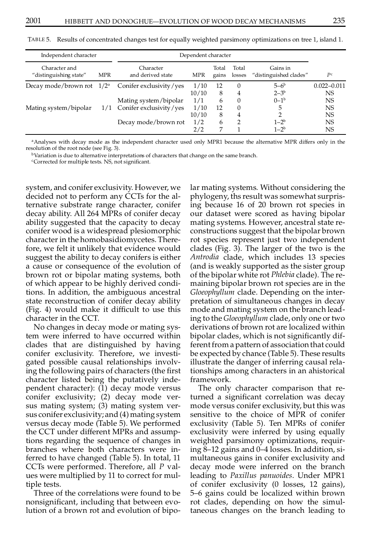| Independent character                   |     | Dependent character                                  |       |                |                 |                                    |                 |
|-----------------------------------------|-----|------------------------------------------------------|-------|----------------|-----------------|------------------------------------|-----------------|
| Character and<br>"distinguishing state" | MPR | Character<br>and derived state                       | MPR   | Total<br>gains | Total<br>losses | Gains in<br>"distinguished clades" | Pc              |
|                                         |     | Decay mode/brown rot $1/2^a$ Conifer exclusivity/yes | 1/10  | 12             | 0               | $5 - 6^b$                          | $0.022 - 0.011$ |
|                                         |     |                                                      | 10/10 | 8              | 4               | $2 - 3^b$                          | NS              |
|                                         |     | Mating system/bipolar                                | 1/1   | 6              | 0               | $(0-1)$                            | NS              |
| Mating system/bipolar                   | 1/1 | Conifer exclusivity/yes                              | 1/10  | 12             | 0               | 5                                  | NS              |
|                                         |     |                                                      | 10/10 | 8              | 4               | 2                                  | NS              |
|                                         |     | Decay mode/brown rot                                 | 1/2   | 6              | 2               | $1 - 2^b$                          | NS              |
|                                         |     |                                                      | 2/2   | 7              |                 | $1 - 2b$                           | NS              |

TABLE 5. Results of concentrated changes test for equally weighted parsimony optimizations on tree 1, island 1.

aAnalyses with decay mode as the independent character used only MPR1 because the alternative MPR differs only in the resolution of the root node (see Fig. 3).

<sup>b</sup>Variation is due to alternative interpretations of characters that change on the same branch.

<sup>c</sup>Corrected for multiple tests. NS, not signicant.

system, and conifer exclusivity. However, we decided not to perform any CCTs for the alternative substrate range character, conifer decay ability. All 264 MPRs of conifer decay ability suggested that the capacity to decay conifer wood is a widespread plesiomorphic characterin the homobasidiomycetes. Therefore, we felt it unlikely that evidence would suggest the ability to decay conifers is either a cause or consequence of the evolution of brown rot or bipolar mating systems, both of which appear to be highly derived conditions. In addition, the ambiguous ancestral state reconstruction of conifer decay ability (Fig. 4) would make it difficult to use this character in the CCT.

No changes in decay mode or mating system were inferred to have occurred within clades that are distinguished by having conifer exclusivity. Therefore, we investi gated possible causal relationships involving the following pairs of characters (the first character listed being the putatively inde pendent character): (1) decay mode versus conifer exclusivity; (2) decay mode ver sus mating system; (3) mating system ver sus conifer exclusivity; and(4) mating system versus decay mode (Table 5). We performed the CCT under different MPRs and assumptions regarding the sequence of changes in branches where both characters were inferred to have changed (Table 5). In total, 11 CCTs were performed. Therefore, all *P* values were multiplied by 11 to correct for multiple tests.

Three of the correlations were found to be nonsignificant, including that between evolution of a brown rot and evolution of bipolar mating systems. Without considering the phylogeny, ths result was somewhat surprising because 16 of 20 brown rot species in our dataset were scored as having bipolar mating systems. However, ancestral state re constructions suggest that the bipolar brown rot species represent just two independent clades (Fig. 3). The larger of the two is the *Antrodia* clade, which includes 13 species (and is weakly supported as the sister group of the bipolar white rot *Phlebia* clade). The re maining bipolar brown rot species are in the *Gloeophyllum* clade. Depending on the inter pretation of simultaneous changes in decay mode and mating system on the branch leading to the *Gloeophyllum* clade, only one or two derivations of brown rot are localized within bipolar clades, which is not signicantly different from a pattern of association that could be expected by chance (Table 5). These results illustrate the danger of inferring causal relationships among characters in an ahistorical framework.

The only character comparison that returned a significant correlation was decay mode versus conifer exclusivity, but this was sensitive to the choice of MPR of conifer exclusivity (Table 5). Ten MPRs of conifer exclusivity were inferred by using equally weighted parsimony optimizations, requiring 8–12 gains and 0–4 losses. In addition, si multaneous gains in conifer exclusivity and decay mode were inferred on the branch leading to *Paxillus panuoides*. Under MPR1 of conifer exclusivity (0 losses, 12 gains), 5–6 gains could be localized within brown rot clades, depending on how the simultaneous changes on the branch leading to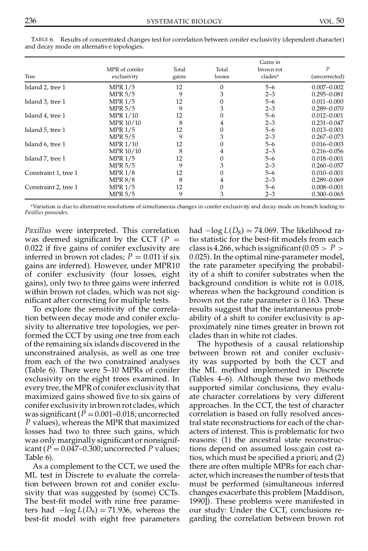| Tree                 | MPR of conifer<br>exclusivity | Total<br>gains | Total<br>losses | Gains in<br>brown rot<br>clades <sup>a</sup> | $\boldsymbol{p}$<br>(uncorrected) |
|----------------------|-------------------------------|----------------|-----------------|----------------------------------------------|-----------------------------------|
| Island 2, tree 1     | <b>MPR 1/5</b>                | 12             | 0               | $5 - 6$                                      | $0.007 - 0.002$                   |
|                      | <b>MPR 5/5</b>                | 9              | 3               | $2 - 3$                                      | $0.295 - 0.081$                   |
| Island 3, tree 1     | <b>MPR 1/5</b>                | 12             |                 | $5 - 6$                                      | $0.011 - 0.000$                   |
|                      | <b>MPR 5/5</b>                | 9              | 3               | $2 - 3$                                      | $0.289 - 0.070$                   |
| Island 4, tree 1     | <b>MPR 1/10</b>               | 12             |                 | $5 - 6$                                      | $0.012 - 0.001$                   |
|                      | MPR 10/10                     | 8              | 4               | $2 - 3$                                      | $0.231 - 0.047$                   |
| Island 5, tree 1     | <b>MPR 1/5</b>                | 12             |                 | $5 - 6$                                      | $0.013 - 0.001$                   |
|                      | <b>MPR 5/5</b>                | 9              | 3               | $2 - 3$                                      | $0.267 - 0.073$                   |
| Island 6, tree 1     | <b>MPR 1/10</b>               | 12             |                 | $5 - 6$                                      | $0.016 - 0.003$                   |
|                      | MPR 10/10                     | 8              | 4               | $2 - 3$                                      | $0.216 - 0.056$                   |
| Island 7, tree 1     | <b>MPR 1/5</b>                | 12             |                 | $5 - 6$                                      | $0.018 - 0.001$                   |
|                      | <b>MPR 5/5</b>                | 9              | 3               | $2 - 3$                                      | $0.260 - 0.057$                   |
| Constraint 1, tree 1 | <b>MPR 1/8</b>                | 12             |                 | $5 - 6$                                      | $0.010 - 0.001$                   |
|                      | <b>MPR 8/8</b>                | 8              | 4               | $2 - 3$                                      | $0.289 - 0.069$                   |
| Constraint 2, tree 1 | <b>MPR 1/5</b>                | 12             |                 | $5 - 6$                                      | $0.008 - 0.001$                   |
|                      | <b>MPR 5/5</b>                | 9              | 3               | $2 - 3$                                      | $0.300 - 0.065$                   |

TABLE 6. Results of concentrated changes test for correlation between conifer exclusivity (dependent character) and decay mode on alternative topologies.

<sup>a</sup>Variation is due to alternative resolutions of simultaneous changes in conifer exclusivity and decay mode on branch leading to *Paxillus panuoides*.

*Paxillus* were interpreted. This correlation was deemed significant by the CCT ( $P =$ 0.022 if five gains of conifer exclusivity are inferred in brown rot clades;  $P = 0.011$  if six gains are inferred). However, under MPR10 of conifer exclusivity (four losses, eight gains), only two to three gains were inferred within brown rot clades, which was not sig nicant after correcting for multiple tests.

To explore the sensitivity of the correlation between decay mode and conifer exclu sivity to alternative tree topologies, we performed the CCT by using one tree from each of the remaining six islands discovered in the unconstrained analysis, as well as one tree from each of the two constrained analyses (Table 6). There were 5–10 MPRs of conifer exclusivity on the eight trees examined. In every tree, the MPR of conifer exclusivity that maximized gains showed five to six gains of conifer exclusivity in brown rot clades, which was significant  $(P = 0.001 - 0.018)$ ; uncorrected *P* values), whereas the MPR that maximized losses had two to three such gains, which was only marginally significant or nonsignificant ( $P = 0.047 - 0.300$ ; uncorrected *P* values; Table 6).

As a complement to the CCT, we used the ML test in Discrete to evaluate the correlation between brown rot and conifer exclu sivity that was suggested by (some) CCTs. The best-fit model with nine free parameters had  $-\log L(D_9) = 71.936$ , whereas the best-fit model with eight free parameters had  $-\log L(D_8) = 74.069$ . The likelihood ratio statistic for the best-fit models from each class is 4.266, which is significant  $(0.05 > P >$ 0:025). In the optimal nine-parameter model, the rate parameter specifying the probability of a shift to conifer substrates when the background condition is white rot is 0.018, whereas when the background condition is brown rot the rate parameter is 0.163. These results suggest that the instantaneous prob ability of a shift to conifer exclusivity is ap proximately nine times greater in brown rot clades than in white rot clades.

The hypothesis of a causal relationship between brown rot and conifer exclusivity was supported by both the CCT and the ML method implemented in Discrete (Tables 4–6). Although these two methods supported similar conclusions, they evalu ate character correlations by very different approaches. In the CCT, the test of character correlation is based on fully resolved ancestral state reconstructions for each of the char acters of interest. This is problematic for two reasons: (1) the ancestral state reconstructions depend on assumed loss:gain cost ratios, which must be specified a priori; and (2) there are often multiple MPRs for each char acter, which increases the number of tests that must be performed (simultaneous inferred changes exacerbate this problem [Maddison, 1990]). These problems were manifested in our study: Under the CCT, conclusions re garding the correlation between brown rot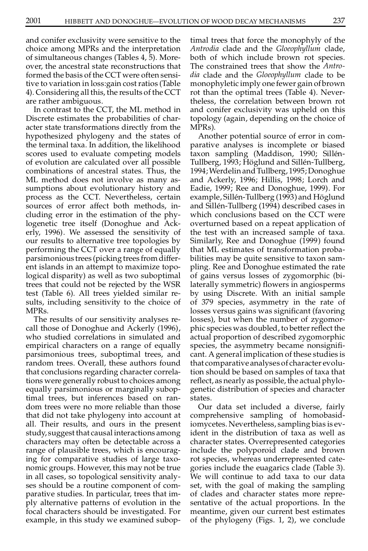and conifer exclusivity were sensitive to the choice among MPRs and the interpretation of simultaneous changes (Tables 4, 5). More over, the ancestral state reconstructions that formed the basis of the CCT were often sensitive to variation in loss:gain costratios (Table 4). Considering all this, the results of the CCT are rather ambiguous.

In contrast to the CCT, the ML method in Discrete estimates the probabilities of char acter state transformations directly from the hypothesized phylogeny and the states of the terminal taxa. In addition, the likelihood scores used to evaluate competing models of evolution are calculated over all possible combinations of ancestral states. Thus, the ML method does not involve as many as sumptions about evolutionary history and process as the CCT. Nevertheless, certain sources of error affect both methods, in cluding error in the estimation of the phylogenetic tree itself (Donoghue and Ack erly, 1996). We assessed the sensitivity of our results to alternative tree topologies by performing the CCT over a range of equally parsimonious trees (picking trees fromdiffer ent islands in an attempt to maximize topological disparity) as well as two suboptimal trees that could not be rejected by the WSR test (Table 6). All trees yielded similar re sults, including sensitivity to the choice of MPRs.

The results of our sensitivity analyses re call those of Donoghue and Ackerly (1996), who studied correlations in simulated and empirical characters on a range of equally parsimonious trees, suboptimal trees, and random trees. Overall, these authors found that conclusions regarding character correlations were generally robust to choices among equally parsimonious or marginally suboptimal trees, but inferences based on ran dom trees were no more reliable than those that did not take phylogeny into account at all. Their results, and ours in the present study, suggest that causal interactions among characters may often be detectable across a range of plausible trees, which is encouraging for comparative studies of large taxo nomic groups. However, this may not be true in all cases, so topological sensitivity analy ses should be a routine component of com parative studies. In particular, trees that im ply alternative patterns of evolution in the focal characters should be investigated. For example, in this study we examined suboptimal trees that force the monophyly of the *Antrodia* clade and the *Gloeophyllum* clade, both of which include brown rot species. The constrained trees that show the *Antrodia* clade and the *Gloeophyllum* clade to be monophyletic imply one fewer gain of brown rot than the optimal trees (Table 4). Nevertheless, the correlation between brown rot and conifer exclusivity was upheld on this topology (again, depending on the choice of MPRs).

Another potential source of error in com parative analyses is incomplete or biased taxon sampling (Maddison, 1990; Sillén-Tullberg, 1993; Höglund and Sillén-Tullberg, 1994;Werdelin andTullberg, 1995;Donoghue and Ackerly, 1996; Hillis, 1998; Lorch and Eadie, 1999; Ree and Donoghue, 1999). For example, Sillén-Tullberg (1993) and Höglund and Sillén-Tullberg (1994) described cases in which conclusions based on the CCT were overturned based on a repeat application of the test with an increased sample of taxa. Similarly, Ree and Donoghue (1999) found that ML estimates of transformation proba bilities may be quite sensitive to taxon sam pling. Ree and Donoghue estimated the rate of gains versus losses of zygomorphic (bilaterally symmetric) flowers in angiosperms by using Discrete. With an initial sample of 379 species, asymmetry in the rate of losses versus gains was significant (favoring losses), but when the number of zygomor phic species was doubled, to better reflect the actual proportion of described zygomorphic species, the asymmetry became nonsignificant. A general implication of these studies is that comparative analyses of character evolution should be based on samples of taxa that reflect, as nearly as possible, the actual phylogenetic distribution of species and character states.

Our data set included a diverse, fairly comprehensive sampling of homobasidiomycetes. Nevertheless, sampling bias is evident in the distribution of taxa as well as character states. Overrepresented categories include the polyporoid clade and brown rot species, whereas underrepresented cate gories include the euagarics clade (Table 3). We will continue to add taxa to our data set, with the goal of making the sampling of clades and character states more repre sentative of the actual proportions. In the meantime, given our current best estimates of the phylogeny (Figs. 1, 2), we conclude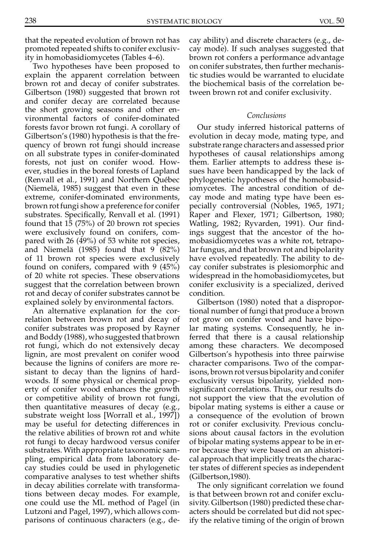that the repeated evolution of brown rot has promoted repeated shifts to conifer exclusivity in homobasidiomycetes (Tables 4–6).

Two hypotheses have been proposed to explain the apparent correlation between brown rot and decay of conifer substrates. Gilbertson (1980) suggested that brown rot and conifer decay are correlated because the short growing seasons and other en vironmental factors of conifer-dominated forests favor brown rot fungi. A corollary of Gilbertson's (1980) hypothesis is that the fre quency of brown rot fungi should increase on all substrate types in conifer-dominated forests, not just on conifer wood. How ever, studies in the boreal forests of Lapland (Renvall et al., 1991) and Northern Québec (Niemelä, 1985) suggest that even in these extreme, conifer-dominated environments, brown rot fungi show a preference for conifer substrates. Specifically, Renvall et al. (1991) found that 15 (75%) of 20 brown rot species were exclusively found on conifers, com pared with 26 (49%) of 53 white rot species, and Niemela¨ (1985) found that 9 (82%) of 11 brown rot species were exclusively found on conifers, compared with 9 (45%) of 20 white rot species. These observations suggest that the correlation between brown rot and decay of conifer substrates cannot be explained solely by environmental factors.

An alternative explanation for the cor relation between brown rot and decay of conifer substrates was proposed by Rayner and Boddy (1988), who suggested thatbrown rot fungi, which do not extensively decay lignin, are most prevalent on conifer wood because the lignins of conifers are more re sistant to decay than the lignins of hard woods. If some physical or chemical prop erty of conifer wood enhances the growth or competitive ability of brown rot fungi, then quantitative measures of decay (e.g., substrate weight loss [Worrall et al., 1997]) may be useful for detecting differences in the relative abilities of brown rot and white rot fungi to decay hardwood versus conifer substrates.With appropriate taxonomic sam pling, empirical data from laboratory de cay studies could be used in phylogenetic comparative analyses to test whether shifts in decay abilities correlate with transformations between decay modes. For example, one could use the ML method of Pagel (in Lutzoni and Pagel, 1997), which allows com parisons of continuous characters (e.g., decay ability) and discrete characters (e.g., de cay mode). If such analyses suggested that brown rot confers a performance advantage on conifer substrates, then further mechanistic studies would be warranted to elucidate the biochemical basis of the correlation between brown rot and conifer exclusivity.

### *Conclusions*

Our study inferred historical patterns of evolution in decay mode, mating type, and substrate range characters and assessed prior hypotheses of causal relationships among them. Earlier attempts to address these is sues have been handicapped by the lack of phylogenetic hypotheses of the homobasidiomycetes. The ancestral condition of de cay mode and mating type have been es pecially controversial (Nobles, 1965, 1971; Raper and Flexer, 1971; Gilbertson, 1980; Watling, 1982; Ryvarden, 1991). Our findings suggest that the ancestor of the ho mobasidiomycetes was a white rot, tetrapolar fungus, and that brown rot and bipolarity have evolved repeatedly. The ability to de cay conifer substrates is plesiomorphic and widespread in the homobasidiomycetes, but conifer exclusivity is a specialized, derived condition.

Gilbertson (1980) noted that a disproportional number of fungi that produce a brown rot grow on conifer wood and have bipolar mating systems. Consequently, he inferred that there is a causal relationship among these characters. We decomposed Gilbertson's hypothesis into three pairwise character comparisons. Two of the comparisons, brown rot versus bipolarity and conifer exclusivity versus bipolarity, yielded non significant correlations. Thus, our results do not support the view that the evolution of bipolar mating systems is either a cause or a consequence of the evolution of brown rot or conifer exclusivity. Previous conclu sions about causal factors in the evolution of bipolar mating systems appear to be in er ror because they were based on an ahistori cal approach that implicitly treats the character states of different species as independent (Gilbertson,1980).

The only significant correlation we found is that between brown rot and conifer exclu sivity. Gilbertson (1980) predicted these char acters should be correlated but did not specify the relative timing of the origin of brown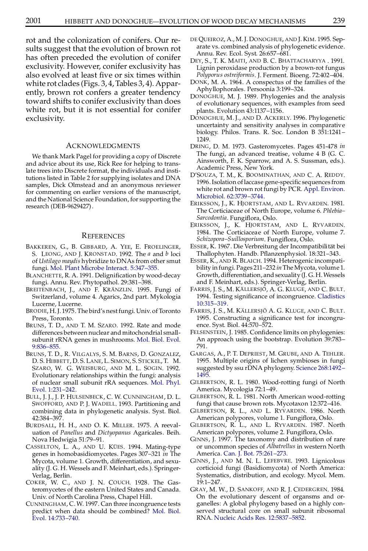rot and the colonization of conifers. Our re sults suggest that the evolution of brown rot has often preceded the evolution of conifer exclusivity. However, conifer exclusivity has also evolved at least five or six times within white rot clades (Figs. 3, 4,Tables 3, 4). Appar ently, brown rot confers a greater tendency toward shifts to conifer exclusivity than does white rot, but it is not essential for conifer exclusivity.

### **ACKNOWLEDGMENTS**

We thank Mark Pagel for providing a copy of Discrete and advice about its use, Rick Ree for helping to translate trees into Discrete format, the individuals and institutions listed in Table 2 for supplying isolates and DNA samples, Dick Olmstead and an anonymous reviewer for commenting on earlier versions of the manuscript, and the National Science Foundation, for supporting the research (DEB-9629427).

#### **REFERENCES**

- BAKKEREN, G., B. GIBBARD, A. YEE, E. FROELINGER, S. LEONG, AND J. KRONSTAD. 1992. The *a* and *b* loci of *Ustilago maydis* hybridize to DNAs from other smut fungi. Mol. Plant Microbe Interact. [5:347–355.](http://barbarina.catchword.com/nw=1/rpsv/0894-0282^28^295L.347[aid=1160572])
- BLANCHETTE, R. A. 1991. Delignification by wood-decay fungi. Annu. Rev. Phytopathol. 29:381–398.
- BREITENBACH, J., AND F. KRÄNZLIN. 1995. Fungi of Switzerland, volume 4. Agarics, 2nd part. Mykologia Lucerne, Lucerne.
- BRODIE, H.J. 1975. The bird's nest fungi. Univ. of Toronto Press, Toronto.
- BRUNS, T. D., AND T. M. SZARO. 1992. Rate and mode differences between nuclear and mitochondrial smallsubunit rRNA genes in mushrooms. Mol. Biol. [Evol.](http://barbarina.catchword.com/nw=1/rpsv/0737-4038^28^299L.836[aid=761891]) [9:836–855.](http://barbarina.catchword.com/nw=1/rpsv/0737-4038^28^299L.836[aid=761891])
- BRUNS, T. D., R. VILGALYS, S. M. BARNS, D. GONZALEZ, D. S. HIBBETT, D. S. LANE, L. SIMON, S. STICKEL, T. M. SZARO, W. G. WEISBURG, AND M. L. SOGIN. 1992. Evolutionary relationships within the fungi: analysis of nuclear small subunit rRA sequences. Mol. [Phyl.](http://barbarina.catchword.com/nw=1/rpsv/1055-7903^28^291L.231[aid=761893]) Evol. [1:231–242.](http://barbarina.catchword.com/nw=1/rpsv/1055-7903^28^291L.231[aid=761893])
- BULL, J. J., J. P. HULSENBECK, C. W. CUNNINGHAM, D. L. SWOFFORD, AND P. J. WADELL. 1993. Partitioning and combining data in phylogenetic analysis. Syst. Biol. 42:384–397.
- BURDSALL, H. H., AND O. K. MILLER. 1975. A reeval uation of *Panellus* and *Dictyopanus* Agaricales. Beih. Nova Hedwigia 51:79–91.
- CASSELTON, L. A., AND U. KUES. 1994. Mating-type genes in homobasidiomycetes. Pages 307–321 *in* The Mycota, volume 1. Growth, differentiation, and sexu ality (J. G. H. Wessels and F. Meinhart, eds.). Springer- Verlag, Berlin.
- COKER, W. C., AND J. N. COUCH. 1928. The Gasteromycetes of the eastern United States and Canada. Univ. of North Carolina Press, Chapel Hill.
- CUNNINGHAM, C.W. 1997. Can three incongruence tests predict when data should be combined? [Mol.](http://barbarina.catchword.com/nw=1/rpsv/0737-4038^28^2914L.733[aid=761833]) Biol. Evol. [14:733–740.](http://barbarina.catchword.com/nw=1/rpsv/0737-4038^28^2914L.733[aid=761833])
- DE QUEIROZ, A., M. J. DONOGHUE, AND J. KIM. 1995. Separate vs. combined analysis of phylogenetic evidence. Annu. Rev. Ecol. Syst. 26:657–681.
- DEY, S., T. K. MAITI, AND B.C. BHATTACHARYYA . 1991. Lignin peroxidase production by a brown-rot fungus *Polyporus ostreiformis*. J. Ferment. Bioeng. 72:402–404.
- DONK, M. A. 1964. A conspectus of the families of the Aphyllophorales. Persoonia 3:199–324.
- DONOGHUE, M. J. 1989. Phylogenies and the analysis of evolutionary sequences, with examples from seed plants. Evolution 43:1137–1156.
- DONOGHUE, M. J., AND D. ACKERLY. 1996. Phylogenetic uncertainty and sensitivity analyses in comparative biology. Philos. Trans. R. Soc. London B 351:1241– 1249.
- DRING, D. M. 1973. Gasteromycetes. Pages 451-478 *in* The fungi, an advanced treatise, volume 4 B (G. C. Ainsworth, F. K. Sparrow, and A. S. Sussman, eds.). Academic Press, New York.
- D'SOUZA, T. M., K. BOOMINATHAN, AND C. A. REDDY. 1996. Isolation of laccase gene-specific sequences from white rot and brown rot fungi by PCR. Appl. [Environ.](http://barbarina.catchword.com/nw=1/rpsv/0099-2240^28^2962L.3739[aid=1160577]) Microbiol. [62:3739–3744.](http://barbarina.catchword.com/nw=1/rpsv/0099-2240^28^2962L.3739[aid=1160577])
- ERIKSSON, J., K. HJORTSTAM, AND L. RYVARDEN. 1981. The Corticiaceae of North Europe, volume 6. *Phlebia–* Sarcodontia. Fungiflora, Oslo.
- ERIKSSON, J., K. HJORTSTAM, AND L. RYVARDEN. 1984. The Corticiaceae of North Europe, volume 7. Schizopora-Suillosporium. Fungiflora, Oslo.
- ESSER, K. 1967. Die Verbreitung der Incompatibilität bei Thallophyten. Handb. Pflanzenphysiol. 18:321-343.
- ESSER, K., AND R.BLAICH. 1994. Heterogenic incompati bility in fungi.Pages 211–232 *in*TheMycota, volume 1. Growth, differentiation, and sexuality (J. G. H. Wessels and F. Meinhart, eds.). Springer-Verlag, Berlin.
- FARRIS, J. S., M. KÄLLERSJÖ, A. G. KLUGE, AND C. BULT. 1994. Testing significance of incongruence. [Cladistics](http://barbarina.catchword.com/nw=1/rpsv/0748-3007^28^2910L.315[aid=523824]) [10:315–319.](http://barbarina.catchword.com/nw=1/rpsv/0748-3007^28^2910L.315[aid=523824])
- FARRIS, J. S., M. KÄLLERSJÖ A. G. KLUGE, AND C. BULT. 1995. Constructing a significance test for incongruence. Syst. Biol. 44:570–572.
- FELSENSTEIN, J. 1985. Confidence limits on phylogenies: An approach using the bootstrap. Evolution 39:783– 791.
- GARGAS, A., P. T. DEPRIEST, M. GRUBE, AND A. TEHLER. 1995. Multiple origins of lichen symbioses in fungi suggested by ssu rDNA phylogeny. Science [268:1492–](http://barbarina.catchword.com/nw=1/rpsv/0036-8075^28^29268L.1492[aid=1160578]) [1495.](http://barbarina.catchword.com/nw=1/rpsv/0036-8075^28^29268L.1492[aid=1160578])
- GILBERTSON, R. L. 1980. Wood-rotting fungi of North America. Mycologia 72:1–49.
- GILBERTSON, R. L. 1981. North American wood-rotting fungi that cause brown rots. Mycotaxon 12:372–416.
- GILBERTSON, R. L., AND L. RYVARDEN. 1986. North American polypores, volume 1. Fungiflora, Oslo.
- GILBERTSON, R. L., AND L. RYVARDEN. 1987. North American polypores, volume 2. Fungiflora, Oslo.
- GINNS, J. 1997. The taxonomy and distribution of rare or uncommon species of *Albatrellus* in western North America. Can. J. Bot. [75:261–273.](http://barbarina.catchword.com/nw=1/rpsv/0008-4026^28^2975L.261[aid=1160581])
- GINNS, J., AND M. N. L. LEFEBVRE. 1993. Lignicolous corticioid fungi (Basidiomycota) of North America: Systematics, distribution, and ecology. Mycol. Mem. 19:1–247.
- GRAY, M. W., D. SANKOFF, AND R. J. CEDERGREN. 1984. On the evolutionary descent of organsms and or ganelles: A global phylogeny based on a highly con served structural core on small subunit ribosomal RNA. Nucleic Acids Res. [12:5837–5852.](http://barbarina.catchword.com/nw=1/rpsv/0305-1048^28^2912L.5837[aid=1160583])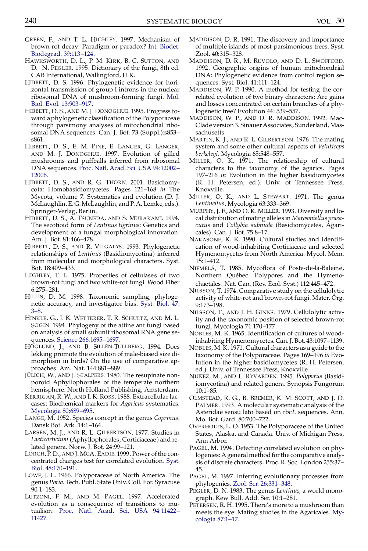- GREEN, F., AND T. L. HIGHLEY. 1997. Mechanism of brown-rot decay: Paradigm or paradox? Int. [Biodet.](http://barbarina.catchword.com/nw=1/rpsv/0964-8305^28^2939L.113[aid=1160584]) Biodegrad. [39:113–124.](http://barbarina.catchword.com/nw=1/rpsv/0964-8305^28^2939L.113[aid=1160584])
- HAWKSWORTH, D. L., P. M. KIRK, B. C. SUTTON, AND D. N. PEGLER. 1995. Dictionary of the fungi, 8th ed. CAB International, Wallingford, U.K.
- HIBBETT, D. S. 1996. Phylogenetic evidence for hori zontal transmission of group I introns in the nuclear ribosomal DNA of mushroom-forming fungi. [Mol.](http://barbarina.catchword.com/nw=1/rpsv/0737-4038^28^2913L.903[aid=760287]) Biol. Evol. [13:903–917.](http://barbarina.catchword.com/nw=1/rpsv/0737-4038^28^2913L.903[aid=760287])
- HIBBETT, D. S., AND M. J. DONOGHUE. 1995. Progress to ward a phylogenetic classification of the Polyporaceae through parsimony analyses of mitochondrial ribo somal DNA sequences. Can. J. Bot. 73 (Suppl.):s853– s861.
- HIBBETT, D. S., E. M. PINE, E. LANGER, G. LANGER, AND M. J. DONOGHUE. 1997. Evolution of gilled mushrooms and puffballs inferred from ribosomal DNA sequences. Proc. Natl. Acad. Sci. USA [94:12002–](http://barbarina.catchword.com/nw=1/rpsv/0027-8424^28^2994L.12002[aid=761902]) [12006.](http://barbarina.catchword.com/nw=1/rpsv/0027-8424^28^2994L.12002[aid=761902])
- HIBBETT, D. S., AND R. G. THORN. 2001. Basidiomy cota: Homobasidiomycetes. Pages 121–168 *in* The Mycota, volume 7. Systematics and evolution (D. J. McLaughlin, E.G. McLaughlin, and P.A. Lemke, eds.). Springer-Verlag, Berlin.
- HIBBETT, D. S., A. TSUNEDA, AND S. MURAKAMI. 1994. The secotioid form of *Lentinus tigrinus*: Genetics and development of a fungal morphological innovation. Am. J. Bot. 81:466–478.
- HIBBETT, D. S., AND R. VILGALYS. 1993. Phylogenetic relationships of *Lentinus* (Basidiomycotina) inferred from molecular and morphological characters. Syst. Bot. 18:409–433.
- HIGHLEY, T. L. 1975. Properties of cellulases of two brown-rot fungi and two white-rot fungi. Wood Fiber 6:275–281.
- HILLIS, D. M. 1998. Taxonomic sampling, phyloge netic accuracy, and investigator bias. [Syst.](http://barbarina.catchword.com/nw=1/rpsv/1063-5157^28^2947L.3[aid=761148]) Biol. 47: [3–8.](http://barbarina.catchword.com/nw=1/rpsv/1063-5157^28^2947L.3[aid=761148])
- HINKLE, G., J. K. WETTERER, T. R. SCHULTZ, AND M. L. SOGIN. 1994. Phylogeny of the attine ant fungi based on analysis of small subunit ribosomal RNA gene se quences. Science [266:1695–1697.](http://barbarina.catchword.com/nw=1/rpsv/0036-8075^28^29266L.1695[aid=1160596])
- HÖGLUND, J., AND B. SILLÉN-TULLBERG. 1994. Does lekking promote the evolution of male-biased size di morphism in birds? On the use of comparative ap proaches. Am. Nat. 144:881–889.
- JÜLICH, W., AND J. STALPERS. 1980. The resupinate nonporoid Aphyllophorales of the temperate northern hemisphere. North Holland Publishing, Amsterdam.
- KERRIGAN, R. W., AND I. K. ROSS. 1988. Extracellularlac cases: Biochemical markers for *Agaricus* systematics. Mycologia [80:689–695.](http://barbarina.catchword.com/nw=1/rpsv/0027-5514^28^2980L.689[aid=1160597])
- LANGE, M. 1952. Species concept in the genus *Coprinus*. Dansk Bot. Ark. 14:1–164.
- LARSEN, M. J., AND R. L. GILBERTSON. 1977. Studies in *Laeticorticium* (Aphyllophorales, Corticiaceae) and related genera. Norw. J. Bot. 24:99–121.
- LORCH, P.D., AND J. MCA. EADIE. 1999. Power of the concentrated changes test for correlated evolution. [Syst.](http://barbarina.catchword.com/nw=1/rpsv/1063-5157^28^2948L.170[aid=981339]) Biol. [48:170–191.](http://barbarina.catchword.com/nw=1/rpsv/1063-5157^28^2948L.170[aid=981339])
- LOWE, J. L. 1966. Polyporaceae of North America. The genus *Poria*. Tech. Publ. State Univ. Coll. For. Syracuse 90:1–183.
- LUTZONI, F. M., AND M. PAGEL. 1997. Accelerated evolution as a consequence of transitions to mutualism. Proc. Natl. Acad. Sci. USA [94:11422–](http://barbarina.catchword.com/nw=1/rpsv/0027-8424^28^2994L.11422[aid=1160599]) [11427.](http://barbarina.catchword.com/nw=1/rpsv/0027-8424^28^2994L.11422[aid=1160599])
- MADDISON, D. R. 1991. The discovery and importance of multiple islands of most-parsimonious trees. Syst. Zool. 40:315–328.
- MADDISON, D. R., M. RUVOLO, AND D. L. SWOFFORD. 1992. Geographic origins of human mitochondrial DNA: Phylogenetic evidence from control region se quences. Syst. Biol. 41:111–124.
- MADDISON, W. P. 1990. A method for testing the cor related evolution of two binary characters: Are gains and losses concentrated on certain branches of a phylogenetic tree? Evolution 44: 539–557.
- MADDISON, W. P., AND D. R. MADDISON. 1992. Mac-Cladeversion3. SinauerAssociates, Sunderland, Mas sachusetts.
- MARTIN, K. J., AND R. L. GILBERTSON. 1976. The mating system and some other cultural aspects of *Veluticeps berkeleyi*. Mycologia 65:548–557.
- MILLER, O. K. 1971. The relationship of cultural characters to the taxonomy of the agarics. Pages 197–216 *in* Evolution in the higher basidiomycetes (R. H. Petersen, ed.). Univ. of Tennessee Press, Knoxville.
- MILLER, O. K., AND L. STEWART. 1971. The genus *Lentinellus*. Mycologia 63:333–369.
- MURPHY, J. F., AND O. K. MILLER. 1993. Diversity and lo cal distribution of mating alleles in *Marasmiellus praea cutus* and *Collybia subnuda* (Basidiomycetes, Agari cales). Can. J. Bot. 75:8–17.
- NAKASONE, K. K. 1990. Cultural studies and identification of wood-inhabiting Corticiaceae and selected Hymenomycetes from North America. Mycol. Mem. 15:1–412.
- NIEMELÄ, T. 1985. Mycoflora of Poste-de-la-Baleine, Northern Québec. Polypores and the Hymenochaetales. Nat. Can. (Rev. Écol. Syst.) 112:445–472.
- NILS SON, T. 1974. Comparative study on the cellulolytic activity of white-rot and brown-rot fungi. Mater. Org. 9:173–198.
- NILS SON, T., AND J. H. GINNS. 1979. Cellulolytic activity and the taxonomic position of selected brown-rot fungi. Mycologia 71:170–177.
- NOBLES, M. K. 1965. Identification of cultures of woodinhabiting Hymenomycetes. Can. J.Bot. 43:1097–1139.
- NOBLES, M. K. 1971. Cultural characters as a guide to the taxonomy of the Polyporaceae. Pages 169–196 *in* Evolution in the higher basidiomycetes (R. H. Petersen, ed.). Univ. of Tennessee Press, Knoxville.
- NUNEZ ˜ , M., AND L. RYVARDEN. 1995. *Polyporus* (Basidiomycotina) and related genera. Synopsis Fungorum 10:1–85.
- OLMSTEAD, R. G., B. BREMER, K. M. SCOTT, AND J. D. PALMER. 1993. A molecular systematic analysis of the Asteridae sensu lato based on rbc*L* sequences. Ann. Mo. Bot. Gard. 80:700–722.
- OVERHOLTS, L. O. 1953. The Polyporaceae of the United States, Alaska, and Canada. Univ. of Michigan Press, Ann Arbor.
- PAGEL, M. 1994. Detecting correlated evolution on phylogenies: A general method for the comparative analysis of discrete characters. Proc. R. Soc. London 255:37– 45.
- PAGEL, M. 1997. Inferring evolutionary processes from phylogenies. Zool. Scr. [26:331–348.](http://barbarina.catchword.com/nw=1/rpsv/0300-3256^28^2926L.331[aid=524393])
- PEGLER, D. N. 1983. The genus *Lentinus*, a world mono graph. Kew Bull. Add. Ser. 10:1–281.
- PETERSEN, R. H. 1995. There's more to a mushroom than meets the eye: Mating studies in the Agaricales. [My](http://barbarina.catchword.com/nw=1/rpsv/0027-5514^28^2987L.1[aid=7890]) cologia [87:1–17.](http://barbarina.catchword.com/nw=1/rpsv/0027-5514^28^2987L.1[aid=7890])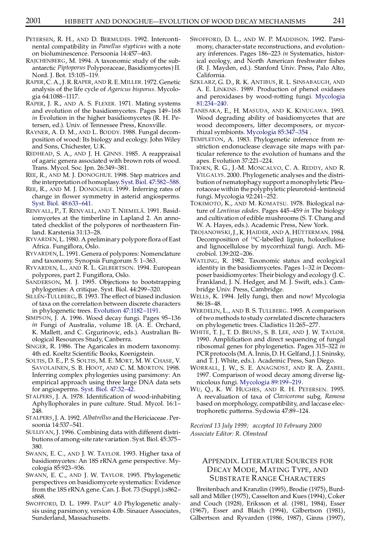- PETERSEN, R. H., AND D. BERMUDES. 1992. Interconti nental compatibility in *Panellus stypticus* with a note on bioluminescence. Persoonia 14:457–463.
- RAJCHENBERG, M. 1994. A taxonomic study of the sub antarctic *Piptoporus* Polyporaceae, Basidiomycetes) II. Nord. J. Bot. 15:105–119.
- RAPER, C.A.,J.R.RAPER, AND R.E.MILLER. 1972.Genetic analysis of the life cycle of *Agaricus bisporus*. Mycologia 64:1088–1117.
- RAPER, J. R., AND A. S. FLEXER. 1971. Mating systems and evolution of the basidiomycetes. Pages 149–168 *in* Evolution in the higher basidiomycetes (R. H. Petersen, ed.). Univ. of Tennessee Press, Knoxville.
- RAYNER, A. D. M., AND L. BODDY. 1988. Fungal decomposition of wood: Its biology and ecology. John Wiley and Sons, Chichester, U.K.
- REDHEAD, S. A., AND J. H. GINNS. 1985. A reappraisal of agaric genera associated with brown rots of wood. Trans. Mycol. Soc. Jpn. 26:349–381.
- REE, R., AND M. J. DONOGHUE. 1998. Step matrices and the interpretation of homoplasy. Syst. Biol. 47:582-588.
- REE, R., AND M. J. DONOGHUE. 1999. Inferring rates of change in flower symmetry in asterid angiosperms. Syst. Biol. [48:633–641.](http://barbarina.catchword.com/nw=1/rpsv/1063-5157^28^2948L.633[aid=761179])
- RENVALL, P., T. RENVALL, AND T. NIEMELÄ. 1991. Basidiomycetes at the timberline in Lapland 2. An annotated checklist of the polypores of northeastern Finland. Karstenia 31:13–28.
- RYVARDEN, L. 1980. A preliminary polypore flora of East Africa. Fungiflora, Oslo.
- RYVARDEN, L. 1991. Genera of polypores: Nomenclature and taxonomy. Synopsis Fungorum 5: 1–363.
- RYVARDEN, L., AND R. L. GILBERTSON. 1994. European polypores, part 2. Fungiflora, Oslo.
- SANDERSON, M. J. 1995. Objections to bootstrapping phylogenies: A critique. Syst. Biol. 44:299–320.
- SILLEN-TULLBERG, B. 1993. The effect of biased inclusion of taxa on the correlation between discrete characters in phylogenetic trees. Evolution [47:1182–1191.](http://barbarina.catchword.com/nw=1/rpsv/0014-3820^28^2947L.1182[aid=31391])
- SIMPSON, J. A. 1996. Wood decay fungi. Pages 95–136 *in* Fungi of Australia, volume 1B. (A. E. Orchard, K. Mallett, and C. Grgurinovic, eds.). Australian Bi ological Resources Study, Canberra.
- SINGER, R. 1986. The Agaricales in modern taxonomy. 4th ed. Koeltz Scientific Books, Koenigstein.
- SOLTIS, D. E., P. S. SOLTIS, M. E. MORT, M. W. CHASE, V. SAVOLAINEN, S. B. HOOT, AND C. M. MORTON. 1998. Inferring complex phylogenies using parsimony: An empirical approach using three large DNA data sets for angiosperms. Syst. Biol. [47:32–42.](http://barbarina.catchword.com/nw=1/rpsv/1063-5157^28^2947L.32[aid=760017])
- STALPERS, J. A. 1978. Identification of wood-inhabiting Aphyllophorales in pure culture. Stud. Mycol. 16:1– 248.
- STALPERS,J. A. 1992. *Albatrellus* and the Hericiaceae. Per soonia 14:537–541.
- SULLIVAN, J. 1996. Combining data with different distri butions of among-site rate variation. Syst.Biol. 45:375– 380.
- SWANN, E. C., AND J. W. TAYLOR. 1993. Higher taxa of basidiomycetes: An 18S rRNA gene perspective. My cologia 85:923–936.
- SWANN, E. C., AND J. W. TAYLOR. 1995. Phylogenetic perspectives on basidiomycete systematics: Evidence from the 18S rRNA gene. Can. J. Bot. 73 (Suppl.):s862– s868.
- SWOFFORD, D. L. 1999. PAUP<sup>\*</sup> 4.0 Phylogenetic analysis using parsimony, version 4.0b. Sinauer Associates, Sunderland, Massachusetts.
- SWOFFORD, D. L., AND W. P. MADDISON. 1992. Parsi mony, character-state reconstructions, and evolution ary inferences. Pages 186–223 *in* Systematics, historical ecology, and North American freshwater fishes (R. J. Mayden, ed.). Stanford Univ. Press, Palo Alto, California.
- SZKLARZ, G. D., R. K. ANTIBUS, R. L. SINSABAUGH, AND A. E. LINKINS. 1989. Production of phenol oxidases and peroxidases by wood-rotting fungi. [Mycologia](http://barbarina.catchword.com/nw=1/rpsv/0027-5514^28^2981L.234[aid=1160607]) [81:234–240.](http://barbarina.catchword.com/nw=1/rpsv/0027-5514^28^2981L.234[aid=1160607])
- TANESAKA, E., H. MASUDA, AND K. KINUGAWA. 1993. Wood degrading ability of basidiomycetes that are wood decomposers, litter decomposers, or mycor rhizal symbionts. Mycologia [85:347–354](http://barbarina.catchword.com/nw=1/rpsv/0027-5514^28^2985L.347[aid=1160608]) .
- TEMPLETON, A. 1983. Phylogenetic inference from re striction endonuclease cleavage site maps with particular reference to the evolution of humans and the apes. Evolution 37:221–224.
- THORN, R. G., J.-M. MONCALVO, C. A. REDDY, AND R. VILGALYS. 2000. Phylogenetic analyses and the distri bution of nematophagy support a monophyletic Pleu rotaceae within the polyphyletic pleurotoid–lentinoid fungi. Mycologia 92:241–252.
- TOKIMOTO, K., AND M. KOMATSU. 1978. Biological nature of *Lentinus edodes*. Pages 445–459 *in* The biology and cultivation of edible mushrooms (S. T. Chang and W. A. Hayes, eds.). Academic Press, New York.
- TROJANOWSKI, J., K. HAIDER, AND A. HÜTTERMAN. 1984. Decomposition of <sup>14</sup>C-labelled lignin, holocellulose and lignocellulose by mycorrhizal fungi. Arch. Mi crobiol. 139:202–206.
- WATLING, R. 1982. Taxonomic status and ecological identity in the basidiomycetes. Pages 1–32 *in* Decomposer basidiomycetes: Their biology and ecology (J. C. Frankland, J. N. Hedger, and M. J. Swift, eds.). Cam bridge Univ. Press, Cambridge.
- WELLS, K. 1994. Jelly fungi, then and now! Mycologia 86:18–48.
- WERDELIN, L., AND B.S. TULLBERG. 1995. A comparison of two methods to study correlated discrete characters on phylogenetic trees. Cladistics 11:265–277.
- WHITE, T. J., T. D. BRUNS , S. B. LEE, AND J. W. TAYLOR. 1990. Amplification and direct sequencing of fungal ribosomal genes for phylogenetics. Pages 315–322 *in* PCRprotocols (M.A.Innis,D. H. Gelfand,J. J. Sninsky, and T.J. White, eds.). Academic Press, San Diego.
- WORRALL, J. W., S. E. ANAGNOST, AND R. A. ZABEL. 1997. Comparison of wood decay among diverse lig nicolous fungi. Mycologia [89:199–219.](http://barbarina.catchword.com/nw=1/rpsv/0027-5514^28^2989L.199[aid=1160610])
- WU, Q., K. W. HUGHES, AND R. H. PETERSEN. 1995. A reevaluation of taxa of *Clavicorona* subg. *Ramosa* based on morphology, compatibility, and laccase electrophoretic patterns. Sydowia 47:89–124.

*Received 13 July 1999; accepted 10 February 2000 Associate Editor: R. Olmstead*

### APPENDIX. LITERATURE SOURCES FOR DECAY MODE, MATING TYPE, AND SUBSTRATE RANGE CHARACTERS

Breitenbach and Kranzlin (1995), Brodie (1975), Burd sall and Miller (1975), Casselton and Kues (1994), Coker and Couch (1928), Eriksson et al. (1981, 1984), Esser (1967), Esser and Blaich (1994), Gilbertson (1981), Gilbertson and Ryvarden (1986, 1987), Ginns (1997),